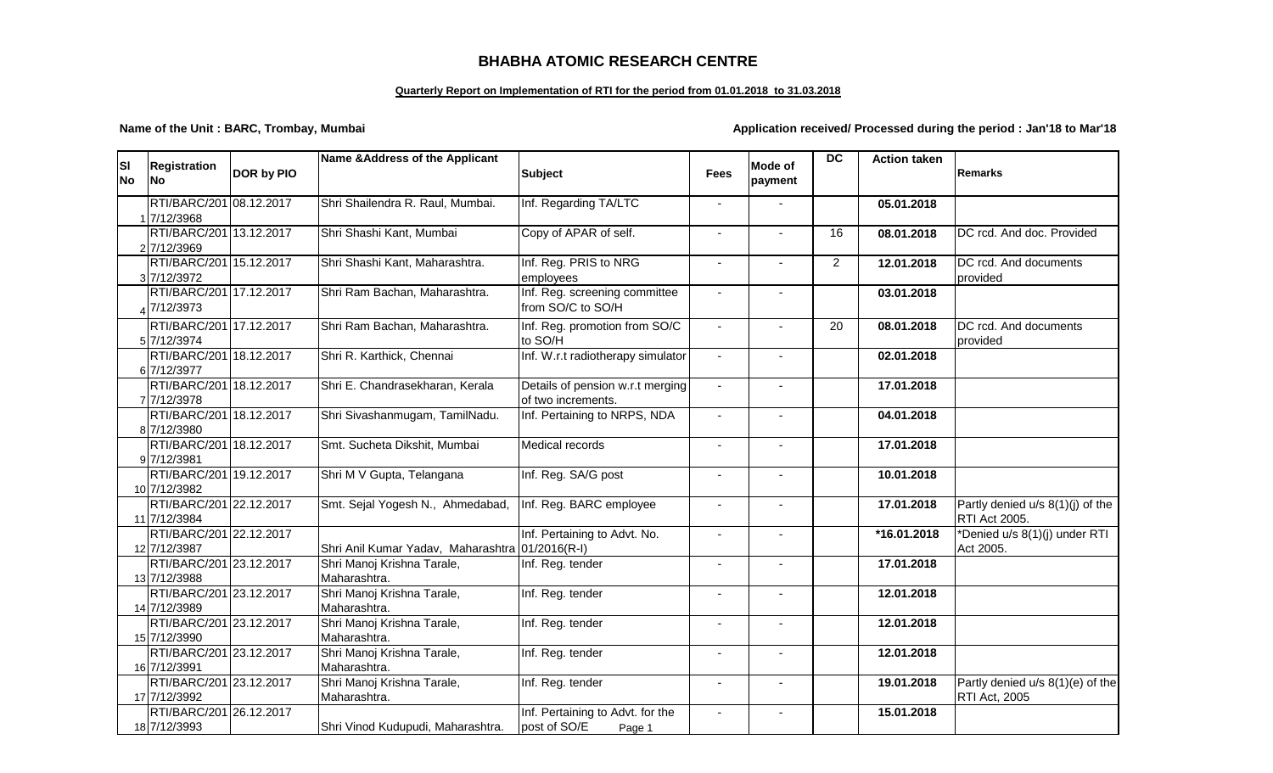## **BHABHA ATOMIC RESEARCH CENTRE**

## **Quarterly Report on Implementation of RTI for the period from 01.01.2018 to 31.03.2018**

**Name of the Unit : BARC, Trombay, Mumbai Application received/ Processed during the period : Jan'18 to Mar'18** 

| <b>SI</b> | <b>Registration</b>                     | DOR by PIO | Name & Address of the Applicant                 | <b>Subject</b>                                     | <b>Fees</b>    | Mode of                  | <b>DC</b>       | <b>Action taken</b> | Remarks                          |
|-----------|-----------------------------------------|------------|-------------------------------------------------|----------------------------------------------------|----------------|--------------------------|-----------------|---------------------|----------------------------------|
| <b>No</b> | No                                      |            |                                                 |                                                    |                | payment                  |                 |                     |                                  |
|           | RTI/BARC/201 08.12.2017                 |            | Shri Shailendra R. Raul, Mumbai.                | Inf. Regarding TA/LTC                              |                |                          |                 | 05.01.2018          |                                  |
|           | 1 7/12/3968                             |            |                                                 |                                                    |                |                          |                 |                     |                                  |
|           | RTI/BARC/201 13.12.2017<br>2 7/12/3969  |            | Shri Shashi Kant, Mumbai                        | Copy of APAR of self.                              |                |                          | 16              | 08.01.2018          | DC rcd. And doc. Provided        |
|           | RTI/BARC/201 15.12.2017                 |            | Shri Shashi Kant, Maharashtra.                  | Inf. Reg. PRIS to NRG                              |                |                          | $\overline{2}$  | 12.01.2018          | DC rcd. And documents            |
|           | 3 7/12/3972                             |            |                                                 | employees                                          |                |                          |                 |                     | provided                         |
|           | RTI/BARC/201 17.12.2017<br>47/12/3973   |            | Shri Ram Bachan, Maharashtra.                   | Inf. Reg. screening committee<br>from SO/C to SO/H |                |                          |                 | 03.01.2018          |                                  |
|           | RTI/BARC/201 17.12.2017                 |            | Shri Ram Bachan, Maharashtra.                   | Inf. Reg. promotion from SO/C                      | $\blacksquare$ | $\sim$                   | $\overline{20}$ | 08.01.2018          | DC rcd. And documents            |
|           | 5 7/12/3974                             |            |                                                 | to SO/H                                            |                |                          |                 |                     | provided                         |
|           | RTI/BARC/201 18.12.2017<br>6 7/12/3977  |            | Shri R. Karthick, Chennai                       | Inf. W.r.t radiotherapy simulator                  | $\sim$         | $\overline{\phantom{a}}$ |                 | 02.01.2018          |                                  |
|           | RTI/BARC/201 18.12.2017                 |            | Shri E. Chandrasekharan, Kerala                 | Details of pension w.r.t merging                   |                |                          |                 | 17.01.2018          |                                  |
|           | 7 7/12/3978                             |            |                                                 | of two increments.                                 |                |                          |                 |                     |                                  |
|           | RTI/BARC/201 18.12.2017                 |            | Shri Sivashanmugam, TamilNadu.                  | Inf. Pertaining to NRPS, NDA                       |                |                          |                 | 04.01.2018          |                                  |
|           | 8 7/12/3980                             |            |                                                 |                                                    |                |                          |                 |                     |                                  |
|           | RTI/BARC/201 18.12.2017                 |            | Smt. Sucheta Dikshit, Mumbai                    | <b>Medical records</b>                             |                | $\Delta$                 |                 | 17.01.2018          |                                  |
|           | 97/12/3981                              |            |                                                 |                                                    |                |                          |                 |                     |                                  |
|           | RTI/BARC/201 19.12.2017<br>10 7/12/3982 |            | Shri M V Gupta, Telangana                       | Inf. Reg. SA/G post                                |                |                          |                 | 10.01.2018          |                                  |
|           | RTI/BARC/201 22.12.2017                 |            | Smt. Sejal Yogesh N., Ahmedabad,                | Inf. Reg. BARC employee                            |                | $\sim$                   |                 | 17.01.2018          | Partly denied u/s 8(1)(j) of the |
|           | 11 7/12/3984                            |            |                                                 |                                                    |                |                          |                 |                     | <b>RTI Act 2005.</b>             |
|           | RTI/BARC/201 22.12.2017                 |            |                                                 | Inf. Pertaining to Advt. No.                       |                |                          |                 | *16.01.2018         | *Denied u/s 8(1)(j) under RTI    |
|           | 12 7/12/3987                            |            | Shri Anil Kumar Yadav, Maharashtra 01/2016(R-I) |                                                    |                |                          |                 |                     | Act 2005.                        |
|           | RTI/BARC/201 23.12.2017                 |            | Shri Manoj Krishna Tarale,                      | Inf. Reg. tender                                   |                |                          |                 | 17.01.2018          |                                  |
|           | 13 7/12/3988                            |            | Maharashtra.                                    |                                                    |                |                          |                 |                     |                                  |
|           | RTI/BARC/201 23.12.2017                 |            | Shri Manoj Krishna Tarale,                      | Inf. Reg. tender                                   |                |                          |                 | 12.01.2018          |                                  |
|           | 14 7/12/3989                            |            | Maharashtra.                                    |                                                    |                |                          |                 |                     |                                  |
|           | RTI/BARC/201 23.12.2017                 |            | Shri Manoj Krishna Tarale,<br>Maharashtra.      | Inf. Reg. tender                                   |                |                          |                 | 12.01.2018          |                                  |
|           | 15 7/12/3990<br>RTI/BARC/201 23.12.2017 |            | Shri Manoj Krishna Tarale,                      | Inf. Reg. tender                                   |                |                          |                 | 12.01.2018          |                                  |
|           | 16 7/12/3991                            |            | Maharashtra.                                    |                                                    |                |                          |                 |                     |                                  |
|           | RTI/BARC/201 23.12.2017                 |            | Shri Manoj Krishna Tarale,                      | Inf. Reg. tender                                   |                |                          |                 | 19.01.2018          | Partly denied u/s 8(1)(e) of the |
|           | 17 7/12/3992                            |            | Maharashtra.                                    |                                                    |                |                          |                 |                     | <b>RTI Act, 2005</b>             |
|           | RTI/BARC/201 26.12.2017                 |            |                                                 | Inf. Pertaining to Advt. for the                   |                |                          |                 | 15.01.2018          |                                  |
|           | 18 7/12/3993                            |            | Shri Vinod Kudupudi, Maharashtra.               | post of SO/E<br>Page 1                             |                |                          |                 |                     |                                  |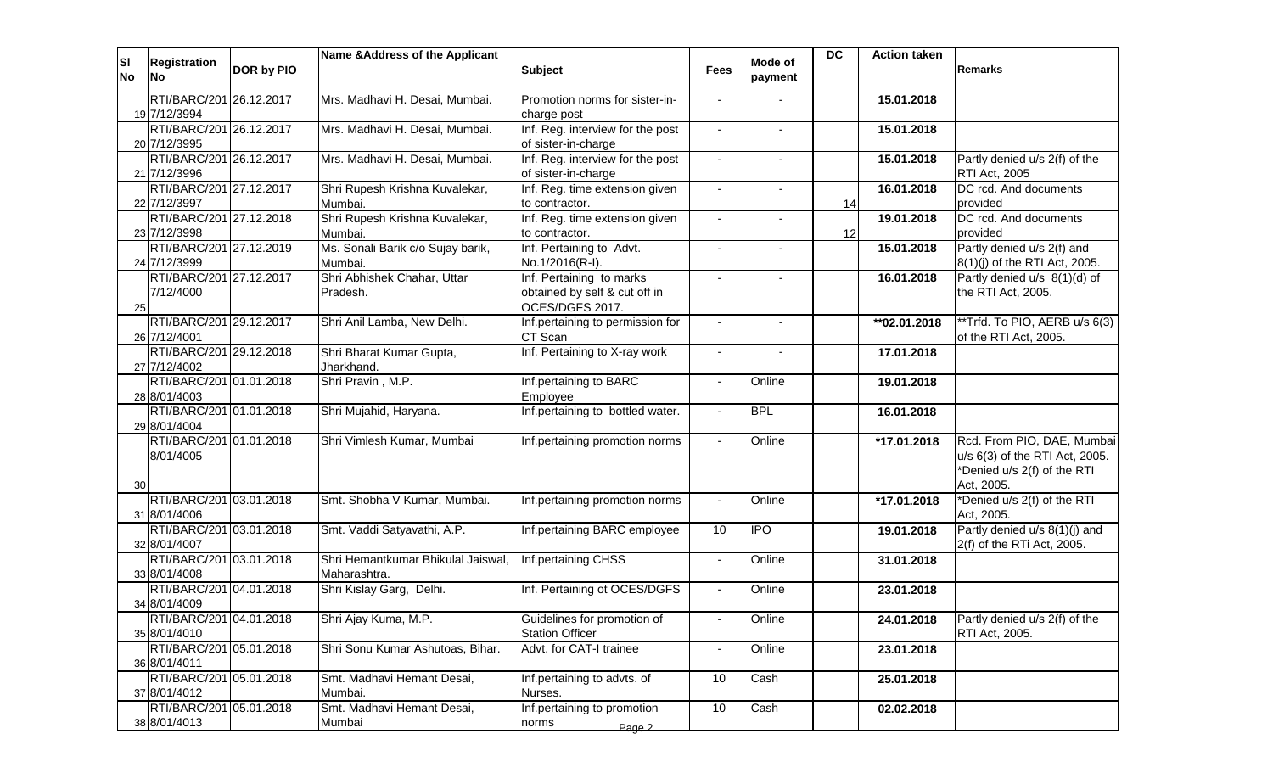| ΙSΙ<br><b>No</b> | Registration<br><b>No</b>               | DOR by PIO | Name & Address of the Applicant                    | <b>Subject</b>                                                               | <b>Fees</b>    | <b>Mode of</b><br>payment | <b>DC</b> | <b>Action taken</b> | <b>Remarks</b>                                                                                            |
|------------------|-----------------------------------------|------------|----------------------------------------------------|------------------------------------------------------------------------------|----------------|---------------------------|-----------|---------------------|-----------------------------------------------------------------------------------------------------------|
|                  | RTI/BARC/201 26.12.2017<br>19 7/12/3994 |            | Mrs. Madhavi H. Desai, Mumbai.                     | Promotion norms for sister-in-<br>charge post                                |                |                           |           | 15.01.2018          |                                                                                                           |
|                  | RTI/BARC/201 26.12.2017<br>20 7/12/3995 |            | Mrs. Madhavi H. Desai, Mumbai.                     | Inf. Reg. interview for the post<br>of sister-in-charge                      |                |                           |           | 15.01.2018          |                                                                                                           |
|                  | RTI/BARC/201 26.12.2017<br>21 7/12/3996 |            | Mrs. Madhavi H. Desai, Mumbai.                     | Inf. Reg. interview for the post<br>of sister-in-charge                      |                |                           |           | 15.01.2018          | Partly denied u/s 2(f) of the<br>RTI Act, 2005                                                            |
|                  | RTI/BARC/201 27.12.2017<br>22 7/12/3997 |            | Shri Rupesh Krishna Kuvalekar,<br>Mumbai.          | Inf. Reg. time extension given<br>to contractor.                             |                |                           | 14        | 16.01.2018          | DC rcd. And documents<br>provided                                                                         |
|                  | RTI/BARC/201 27.12.2018<br>23 7/12/3998 |            | Shri Rupesh Krishna Kuvalekar,<br>Mumbai.          | Inf. Reg. time extension given<br>to contractor.                             |                |                           | 12        | 19.01.2018          | DC rcd. And documents<br>provided                                                                         |
|                  | RTI/BARC/201 27.12.2019<br>24 7/12/3999 |            | Ms. Sonali Barik c/o Sujay barik,<br>Mumbai.       | Inf. Pertaining to Advt.<br>No.1/2016(R-I).                                  | $\blacksquare$ |                           |           | 15.01.2018          | Partly denied u/s 2(f) and<br>8(1)(j) of the RTI Act, 2005.                                               |
| 25               | RTI/BARC/201 27.12.2017<br>7/12/4000    |            | Shri Abhishek Chahar, Uttar<br>Pradesh.            | Inf. Pertaining to marks<br>obtained by self & cut off in<br>OCES/DGFS 2017. | $\sim$         | $\overline{a}$            |           | 16.01.2018          | Partly denied u/s 8(1)(d) of<br>the RTI Act, 2005.                                                        |
|                  | RTI/BARC/201 29.12.2017<br>26 7/12/4001 |            | Shri Anil Lamba, New Delhi.                        | Inf.pertaining to permission for<br>CT Scan                                  | $\blacksquare$ |                           |           | **02.01.2018        | **Trfd. To PIO, AERB u/s 6(3)<br>of the RTI Act, 2005.                                                    |
|                  | RTI/BARC/201 29.12.2018<br>27 7/12/4002 |            | Shri Bharat Kumar Gupta,<br>Jharkhand.             | Inf. Pertaining to X-ray work                                                | $\sim$         |                           |           | 17.01.2018          |                                                                                                           |
|                  | RTI/BARC/201 01.01.2018<br>28 8/01/4003 |            | Shri Pravin, M.P.                                  | Inf.pertaining to BARC<br>Employee                                           | $\blacksquare$ | Online                    |           | 19.01.2018          |                                                                                                           |
|                  | RTI/BARC/201 01.01.2018<br>29 8/01/4004 |            | Shri Mujahid, Haryana.                             | Inf.pertaining to bottled water.                                             | $\blacksquare$ | <b>BPL</b>                |           | 16.01.2018          |                                                                                                           |
| 30               | RTI/BARC/201 01.01.2018<br>8/01/4005    |            | Shri Vimlesh Kumar, Mumbai                         | Inf.pertaining promotion norms                                               | $\mathbf{r}$   | Online                    |           | *17.01.2018         | Rcd. From PIO, DAE, Mumbai<br>u/s 6(3) of the RTI Act, 2005.<br>*Denied u/s 2(f) of the RTI<br>Act, 2005. |
|                  | RTI/BARC/201 03.01.2018<br>31 8/01/4006 |            | Smt. Shobha V Kumar, Mumbai.                       | Inf.pertaining promotion norms                                               |                | Online                    |           | *17.01.2018         | *Denied u/s 2(f) of the RTI<br>Act, 2005.                                                                 |
|                  | RTI/BARC/201 03.01.2018<br>32 8/01/4007 |            | Smt. Vaddi Satyavathi, A.P.                        | Inf.pertaining BARC employee                                                 | 10             | <b>IPO</b>                |           | 19.01.2018          | Partly denied u/s 8(1)(j) and<br>2(f) of the RTi Act, 2005.                                               |
|                  | RTI/BARC/201 03.01.2018<br>33 8/01/4008 |            | Shri Hemantkumar Bhikulal Jaiswal,<br>Maharashtra. | Inf.pertaining CHSS                                                          | $\blacksquare$ | Online                    |           | 31.01.2018          |                                                                                                           |
|                  | RTI/BARC/201 04.01.2018<br>34 8/01/4009 |            | Shri Kislay Garg, Delhi.                           | Inf. Pertaining ot OCES/DGFS                                                 | $\blacksquare$ | Online                    |           | 23.01.2018          |                                                                                                           |
|                  | RTI/BARC/201 04.01.2018<br>35 8/01/4010 |            | Shri Ajay Kuma, M.P.                               | Guidelines for promotion of<br><b>Station Officer</b>                        | $\blacksquare$ | Online                    |           | 24.01.2018          | Partly denied u/s 2(f) of the<br>RTI Act, 2005.                                                           |
|                  | RTI/BARC/201 05.01.2018<br>36 8/01/4011 |            | Shri Sonu Kumar Ashutoas, Bihar.                   | Advt. for CAT-I trainee                                                      | $\blacksquare$ | Online                    |           | 23.01.2018          |                                                                                                           |
|                  | RTI/BARC/201 05.01.2018<br>37 8/01/4012 |            | Smt. Madhavi Hemant Desai,<br>Mumbai.              | Inf.pertaining to advts. of<br>Nurses.                                       | 10             | Cash                      |           | 25.01.2018          |                                                                                                           |
|                  | RTI/BARC/201 05.01.2018<br>38 8/01/4013 |            | Smt. Madhavi Hemant Desai,<br>Mumbai               | Inf.pertaining to promotion<br>norms<br>Page 2                               | 10             | Cash                      |           | 02.02.2018          |                                                                                                           |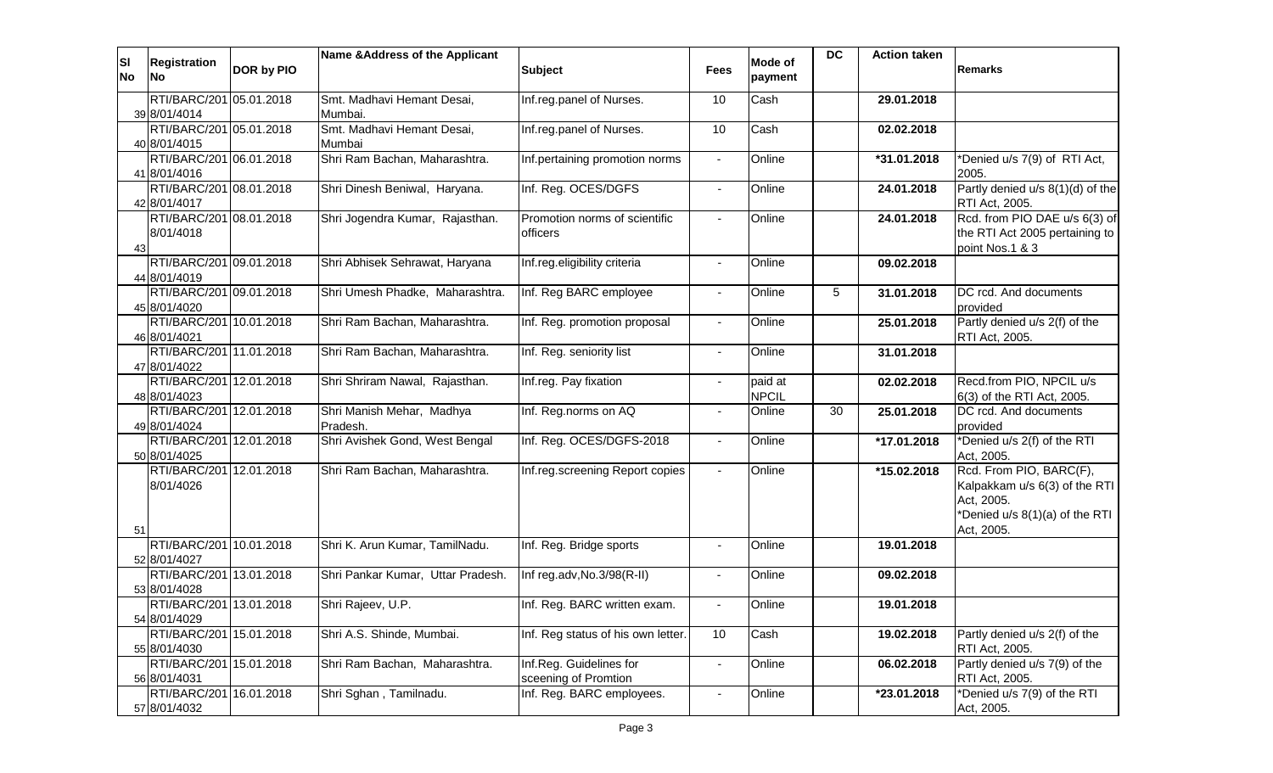| <b>SI</b><br><b>No</b> | <b>Registration</b><br><b>No</b>        | <b>DOR by PIO</b> | Name & Address of the Applicant            | <b>Subject</b>                                    | <b>Fees</b>    | Mode of<br>payment | <b>DC</b> | <b>Action taken</b> | Remarks                                           |
|------------------------|-----------------------------------------|-------------------|--------------------------------------------|---------------------------------------------------|----------------|--------------------|-----------|---------------------|---------------------------------------------------|
|                        | RTI/BARC/201 05.01.2018                 |                   | Smt. Madhavi Hemant Desai,                 | Inf.reg.panel of Nurses.                          | 10             | Cash               |           | 29.01.2018          |                                                   |
|                        | 39 8/01/4014                            |                   | Mumbai.                                    |                                                   |                |                    |           |                     |                                                   |
|                        | RTI/BARC/201 05.01.2018                 |                   | Smt. Madhavi Hemant Desai,                 | Inf.reg.panel of Nurses.                          | 10             | Cash               |           | 02.02.2018          |                                                   |
|                        | 40 8/01/4015<br>RTI/BARC/201 06.01.2018 |                   | Mumbai<br>Shri Ram Bachan, Maharashtra.    | Inf.pertaining promotion norms                    |                | Online             |           | *31.01.2018         | *Denied u/s 7(9) of RTI Act,                      |
|                        | 41 8/01/4016                            |                   |                                            |                                                   |                |                    |           |                     | 2005.                                             |
|                        | RTI/BARC/201 08.01.2018                 |                   | Shri Dinesh Beniwal, Haryana.              | Inf. Reg. OCES/DGFS                               | $\blacksquare$ | Online             |           | 24.01.2018          | Partly denied $u/s$ 8(1)(d) of the                |
|                        | 42 8/01/4017                            |                   |                                            |                                                   |                |                    |           |                     | RTI Act, 2005.                                    |
|                        | RTI/BARC/201 08.01.2018                 |                   | Shri Jogendra Kumar, Rajasthan.            | Promotion norms of scientific                     | $\blacksquare$ | Online             |           | 24.01.2018          | Rcd. from PIO DAE u/s 6(3) of                     |
| 43                     | 8/01/4018                               |                   |                                            | officers                                          |                |                    |           |                     | the RTI Act 2005 pertaining to<br>point Nos.1 & 3 |
|                        | RTI/BARC/201 09.01.2018                 |                   | Shri Abhisek Sehrawat, Haryana             | Inf.reg.eligibility criteria                      | $\blacksquare$ | Online             |           | 09.02.2018          |                                                   |
|                        | 44 8/01/4019                            |                   |                                            |                                                   |                |                    |           |                     |                                                   |
|                        | RTI/BARC/201 09.01.2018                 |                   | Shri Umesh Phadke, Maharashtra.            | Inf. Reg BARC employee                            | $\sim$         | Online             | 5         | 31.01.2018          | DC rcd. And documents                             |
|                        | 45 8/01/4020                            |                   |                                            |                                                   |                |                    |           |                     | provided                                          |
|                        | RTI/BARC/201 10.01.2018                 |                   | Shri Ram Bachan, Maharashtra.              | Inf. Reg. promotion proposal                      | $\blacksquare$ | Online             |           | 25.01.2018          | Partly denied u/s 2(f) of the                     |
|                        | 46 8/01/4021<br>RTI/BARC/201 11.01.2018 |                   | Shri Ram Bachan, Maharashtra.              | Inf. Reg. seniority list                          | $\blacksquare$ | Online             |           | 31.01.2018          | RTI Act, 2005.                                    |
|                        | 47 8/01/4022                            |                   |                                            |                                                   |                |                    |           |                     |                                                   |
|                        | RTI/BARC/201 12.01.2018                 |                   | Shri Shriram Nawal, Rajasthan.             | Inf.reg. Pay fixation                             | $\blacksquare$ | paid at            |           | 02.02.2018          | Recd.from PIO, NPCIL u/s                          |
|                        | 48 8/01/4023                            |                   |                                            |                                                   |                | <b>NPCIL</b>       |           |                     | 6(3) of the RTI Act, 2005.                        |
|                        | RTI/BARC/201 12.01.2018                 |                   | Shri Manish Mehar, Madhya                  | Inf. Reg.norms on AQ                              | $\blacksquare$ | Online             | 30        | 25.01.2018          | DC rcd. And documents                             |
|                        | 49 8/01/4024<br>RTI/BARC/201 12.01.2018 |                   | Pradesh.<br>Shri Avishek Gond, West Bengal | Inf. Reg. OCES/DGFS-2018                          |                | Online             |           | *17.01.2018         | provided<br>*Denied u/s 2(f) of the RTI           |
|                        | 50 8/01/4025                            |                   |                                            |                                                   | $\blacksquare$ |                    |           |                     | Act, 2005.                                        |
|                        | RTI/BARC/201 12.01.2018                 |                   | Shri Ram Bachan, Maharashtra.              | Inf.reg.screening Report copies                   | $\sim$         | Online             |           | *15.02.2018         | Rcd. From PIO, BARC(F),                           |
|                        | 8/01/4026                               |                   |                                            |                                                   |                |                    |           |                     | Kalpakkam u/s 6(3) of the RTI                     |
|                        |                                         |                   |                                            |                                                   |                |                    |           |                     | Act, 2005.<br>*Denied u/s 8(1)(a) of the RTI      |
| 51                     |                                         |                   |                                            |                                                   |                |                    |           |                     | Act, 2005.                                        |
|                        | RTI/BARC/201 10.01.2018                 |                   | Shri K. Arun Kumar, TamilNadu.             | Inf. Reg. Bridge sports                           |                | Online             |           | 19.01.2018          |                                                   |
|                        | 52 8/01/4027                            |                   |                                            |                                                   |                |                    |           |                     |                                                   |
|                        | RTI/BARC/201 13.01.2018                 |                   | Shri Pankar Kumar, Uttar Pradesh.          | Inf reg.adv, No.3/98(R-II)                        | $\sim$         | Online             |           | 09.02.2018          |                                                   |
|                        | 53 8/01/4028<br>RTI/BARC/201 13.01.2018 |                   | Shri Rajeev, U.P.                          | Inf. Reg. BARC written exam.                      |                | Online             |           | 19.01.2018          |                                                   |
|                        | 54 8/01/4029                            |                   |                                            |                                                   |                |                    |           |                     |                                                   |
|                        | RTI/BARC/201 15.01.2018                 |                   | Shri A.S. Shinde, Mumbai.                  | Inf. Reg status of his own letter.                | 10             | Cash               |           | 19.02.2018          | Partly denied u/s 2(f) of the                     |
|                        | 55 8/01/4030                            |                   |                                            |                                                   |                |                    |           |                     | RTI Act, 2005.                                    |
|                        | RTI/BARC/201 15.01.2018                 |                   | Shri Ram Bachan, Maharashtra.              | Inf.Reg. Guidelines for                           | $\blacksquare$ | Online             |           | 06.02.2018          | Partly denied u/s 7(9) of the                     |
|                        | 56 8/01/4031<br>RTI/BARC/201 16.01.2018 |                   | Shri Sghan, Tamilnadu.                     | sceening of Promtion<br>Inf. Reg. BARC employees. |                |                    |           |                     | RTI Act, 2005.<br>*Denied u/s 7(9) of the RTI     |
|                        | 57 8/01/4032                            |                   |                                            |                                                   | $\blacksquare$ | Online             |           | *23.01.2018         | Act, 2005.                                        |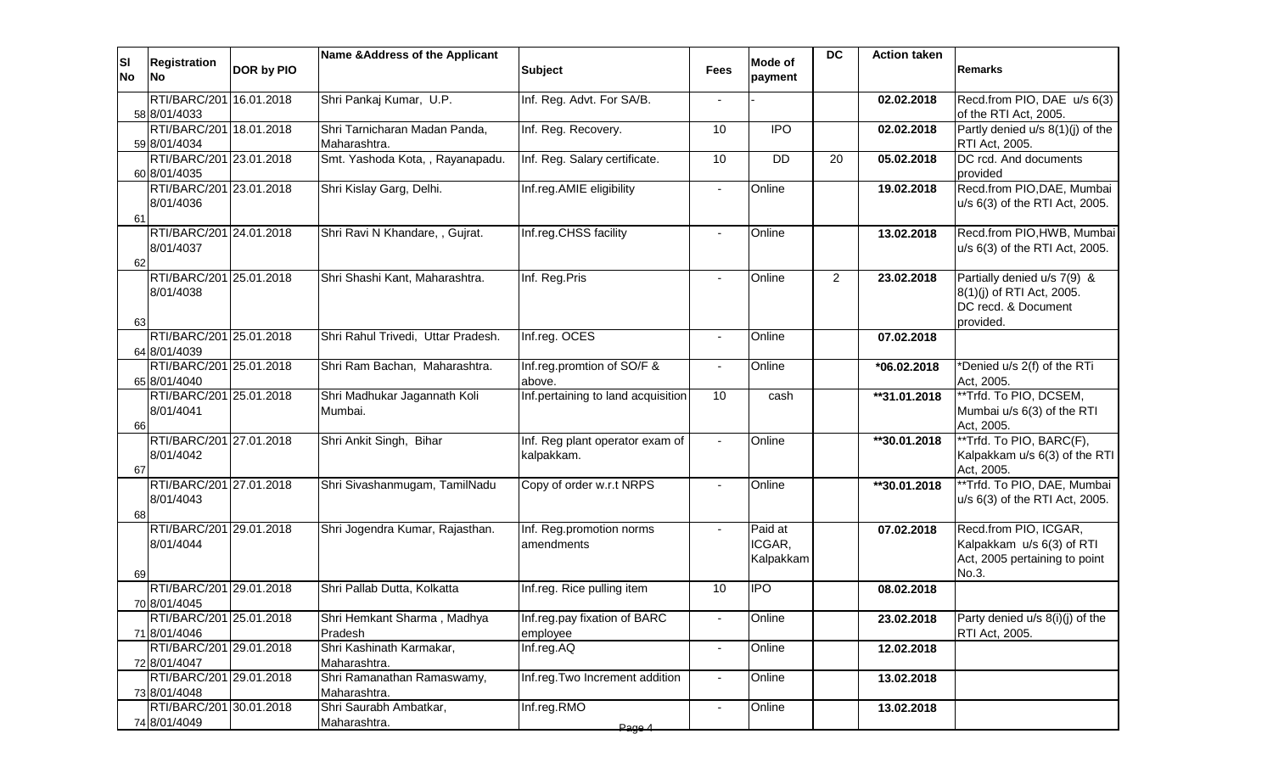| ΙSΙ<br><b>No</b> | <b>Registration</b><br><b>INo</b>       | DOR by PIO | Name & Address of the Applicant               | <b>Subject</b>                                | <b>Fees</b>              | Mode of<br>payment             | <b>DC</b>      | <b>Action taken</b> | Remarks                                                                                      |
|------------------|-----------------------------------------|------------|-----------------------------------------------|-----------------------------------------------|--------------------------|--------------------------------|----------------|---------------------|----------------------------------------------------------------------------------------------|
|                  | RTI/BARC/201 16.01.2018<br>58 8/01/4033 |            | Shri Pankaj Kumar, U.P.                       | Inf. Reg. Advt. For SA/B.                     |                          |                                |                | 02.02.2018          | Recd.from PIO, DAE u/s 6(3)<br>of the RTI Act, 2005.                                         |
|                  | RTI/BARC/201 18.01.2018<br>59 8/01/4034 |            | Shri Tarnicharan Madan Panda,<br>Maharashtra. | Inf. Reg. Recovery.                           | 10                       | <b>IPO</b>                     |                | 02.02.2018          | Partly denied u/s 8(1)(j) of the<br>RTI Act, 2005.                                           |
|                  | RTI/BARC/201 23.01.2018<br>60 8/01/4035 |            | Smt. Yashoda Kota, , Rayanapadu.              | Inf. Reg. Salary certificate.                 | 10                       | <b>DD</b>                      | 20             | 05.02.2018          | DC rcd. And documents<br>provided                                                            |
| 61               | RTI/BARC/201 23.01.2018<br>8/01/4036    |            | Shri Kislay Garg, Delhi.                      | Inf.reg.AMIE eligibility                      | $\blacksquare$           | Online                         |                | 19.02.2018          | Recd.from PIO, DAE, Mumbai<br>u/s 6(3) of the RTI Act, 2005.                                 |
| 62               | RTI/BARC/201 24.01.2018<br>8/01/4037    |            | Shri Ravi N Khandare, , Gujrat.               | Inf.reg.CHSS facility                         | $\blacksquare$           | Online                         |                | 13.02.2018          | Recd.from PIO, HWB, Mumbai<br>u/s 6(3) of the RTI Act, 2005.                                 |
| 63               | RTI/BARC/201 25.01.2018<br>8/01/4038    |            | Shri Shashi Kant, Maharashtra.                | Inf. Reg.Pris                                 | $\sim$                   | Online                         | $\overline{2}$ | 23.02.2018          | Partially denied u/s 7(9) &<br>8(1)(j) of RTI Act, 2005.<br>DC recd. & Document<br>provided. |
|                  | RTI/BARC/201 25.01.2018<br>64 8/01/4039 |            | Shri Rahul Trivedi, Uttar Pradesh.            | Inf.reg. OCES                                 | $\sim$                   | Online                         |                | 07.02.2018          |                                                                                              |
|                  | RTI/BARC/201 25.01.2018<br>65 8/01/4040 |            | Shri Ram Bachan, Maharashtra.                 | Inf.reg.promtion of SO/F &<br>above.          | $\blacksquare$           | Online                         |                | *06.02.2018         | *Denied u/s 2(f) of the RTi<br>Act, 2005.                                                    |
| 66               | RTI/BARC/201 25.01.2018<br>8/01/4041    |            | Shri Madhukar Jagannath Koli<br>Mumbai.       | Inf.pertaining to land acquisition            | 10                       | cash                           |                | **31.01.2018        | **Trfd. To PIO, DCSEM,<br>Mumbai u/s 6(3) of the RTI<br>Act, 2005.                           |
| 67               | RTI/BARC/201 27.01.2018<br>8/01/4042    |            | Shri Ankit Singh, Bihar                       | Inf. Reg plant operator exam of<br>kalpakkam. |                          | Online                         |                | **30.01.2018        | **Trfd. To PIO, BARC(F),<br>Kalpakkam u/s 6(3) of the RTI<br>Act, 2005.                      |
| 68               | RTI/BARC/201 27.01.2018<br>8/01/4043    |            | Shri Sivashanmugam, TamilNadu                 | Copy of order w.r.t NRPS                      |                          | Online                         |                | **30.01.2018        | **Trfd. To PIO, DAE, Mumbai<br>u/s 6(3) of the RTI Act, 2005.                                |
| 69               | RTI/BARC/201 29.01.2018<br>8/01/4044    |            | Shri Jogendra Kumar, Rajasthan.               | Inf. Reg.promotion norms<br>amendments        |                          | Paid at<br>ICGAR,<br>Kalpakkam |                | 07.02.2018          | Recd.from PIO, ICGAR,<br>Kalpakkam u/s 6(3) of RTI<br>Act, 2005 pertaining to point<br>No.3. |
|                  | RTI/BARC/201 29.01.2018<br>70 8/01/4045 |            | Shri Pallab Dutta, Kolkatta                   | Inf.reg. Rice pulling item                    | 10                       | <b>IPO</b>                     |                | 08.02.2018          |                                                                                              |
|                  | RTI/BARC/201 25.01.2018<br>71 8/01/4046 |            | Shri Hemkant Sharma, Madhya<br>Pradesh        | Inf.reg.pay fixation of BARC<br>employee      | $\overline{\phantom{a}}$ | Online                         |                | 23.02.2018          | Party denied u/s 8(i)(j) of the<br>RTI Act, 2005.                                            |
|                  | RTI/BARC/201 29.01.2018<br>72 8/01/4047 |            | Shri Kashinath Karmakar,<br>Maharashtra.      | Inf.reg.AQ                                    | $\blacksquare$           | Online                         |                | 12.02.2018          |                                                                                              |
|                  | RTI/BARC/201 29.01.2018<br>73 8/01/4048 |            | Shri Ramanathan Ramaswamy,<br>Maharashtra.    | Inf.reg.Two Increment addition                | $\blacksquare$           | Online                         |                | 13.02.2018          |                                                                                              |
|                  | RTI/BARC/201 30.01.2018<br>74 8/01/4049 |            | Shri Saurabh Ambatkar,<br>Maharashtra.        | Inf.reg.RMO<br>Page 4                         | $\sim$                   | Online                         |                | 13.02.2018          |                                                                                              |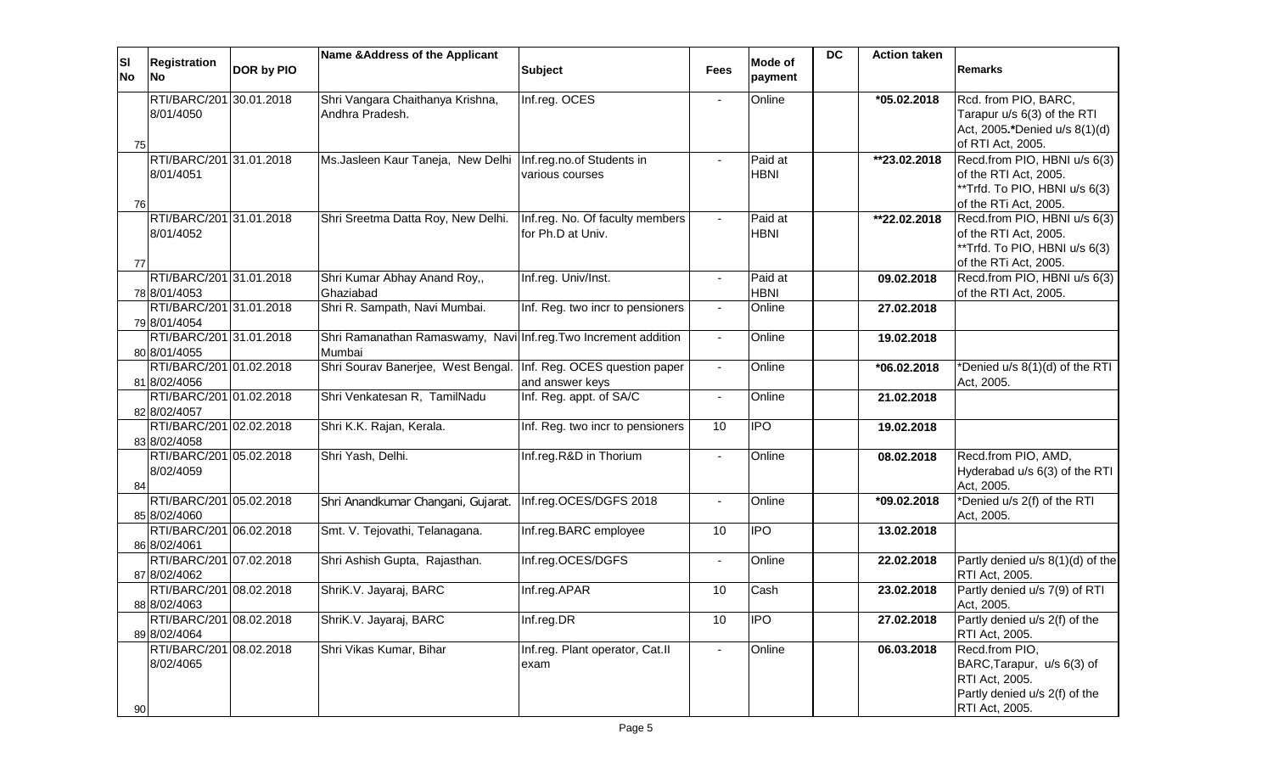| ΙSΙ<br><b>No</b> | <b>Registration</b><br><b>No</b>        | DOR by PIO | Name & Address of the Applicant                                           | <b>Subject</b>                                       | <b>Fees</b>    | Mode of<br>payment     | <b>DC</b> | <b>Action taken</b> | <b>Remarks</b>                                                                                                    |
|------------------|-----------------------------------------|------------|---------------------------------------------------------------------------|------------------------------------------------------|----------------|------------------------|-----------|---------------------|-------------------------------------------------------------------------------------------------------------------|
| 75               | RTI/BARC/201 30.01.2018<br>8/01/4050    |            | Shri Vangara Chaithanya Krishna,<br>Andhra Pradesh.                       | Inf.reg. OCES                                        |                | Online                 |           | *05.02.2018         | Rcd. from PIO, BARC,<br>Tarapur u/s 6(3) of the RTI<br>Act, 2005.*Denied u/s 8(1)(d)<br>of RTI Act, 2005.         |
| 76               | RTI/BARC/201 31.01.2018<br>8/01/4051    |            | Ms.Jasleen Kaur Taneja, New Delhi   Inf.reg.no.of Students in             | various courses                                      |                | Paid at<br><b>HBNI</b> |           | **23.02.2018        | Recd.from PIO, HBNI u/s 6(3)<br>of the RTI Act, 2005.<br>**Trfd. To PIO, HBNI u/s 6(3)<br>of the RTi Act, 2005.   |
| 77               | RTI/BARC/201 31.01.2018<br>8/01/4052    |            | Shri Sreetma Datta Roy, New Delhi.                                        | Inf.reg. No. Of faculty members<br>for Ph.D at Univ. |                | Paid at<br><b>HBNI</b> |           | **22.02.2018        | Recd.from PIO, HBNI u/s 6(3)<br>of the RTI Act, 2005.<br>**Trfd. To PIO, HBNI u/s 6(3)<br>of the RTi Act, 2005.   |
|                  | RTI/BARC/201 31.01.2018<br>78 8/01/4053 |            | Shri Kumar Abhay Anand Roy,,<br>Ghaziabad                                 | Inf.reg. Univ/Inst.                                  |                | Paid at<br><b>HBNI</b> |           | 09.02.2018          | Recd.from PIO, HBNI u/s 6(3)<br>of the RTI Act, 2005.                                                             |
|                  | RTI/BARC/201 31.01.2018<br>79 8/01/4054 |            | Shri R. Sampath, Navi Mumbai.                                             | Inf. Reg. two incr to pensioners                     | $\sim$         | Online                 |           | 27.02.2018          |                                                                                                                   |
|                  | RTI/BARC/201 31.01.2018<br>80 8/01/4055 |            | Shri Ramanathan Ramaswamy, Navi Inf.reg. Two Increment addition<br>Mumbai |                                                      | $\sim$         | Online                 |           | 19.02.2018          |                                                                                                                   |
|                  | RTI/BARC/201 01.02.2018<br>81 8/02/4056 |            | Shri Sourav Banerjee, West Bengal. Inf. Reg. OCES question paper          | and answer keys                                      | $\sim$         | Online                 |           | *06.02.2018         | *Denied u/s 8(1)(d) of the RTI<br>Act, 2005.                                                                      |
|                  | RTI/BARC/201 01.02.2018<br>82 8/02/4057 |            | Shri Venkatesan R, TamilNadu                                              | Inf. Reg. appt. of SA/C                              | $\sim$         | Online                 |           | 21.02.2018          |                                                                                                                   |
|                  | RTI/BARC/201 02.02.2018<br>83 8/02/4058 |            | Shri K.K. Rajan, Kerala.                                                  | Inf. Reg. two incr to pensioners                     | 10             | <b>IPO</b>             |           | 19.02.2018          |                                                                                                                   |
| 84               | RTI/BARC/201 05.02.2018<br>8/02/4059    |            | Shri Yash, Delhi.                                                         | Inf.reg.R&D in Thorium                               | $\sim$         | Online                 |           | 08.02.2018          | Recd.from PIO, AMD,<br>Hyderabad u/s 6(3) of the RTI<br>Act, 2005.                                                |
|                  | RTI/BARC/201 05.02.2018<br>85 8/02/4060 |            | Shri Anandkumar Changani, Gujarat.                                        | Inf.reg.OCES/DGFS 2018                               |                | Online                 |           | *09.02.2018         | *Denied u/s 2(f) of the RTI<br>Act, 2005.                                                                         |
|                  | RTI/BARC/201 06.02.2018<br>86 8/02/4061 |            | Smt. V. Tejovathi, Telanagana.                                            | Inf.reg.BARC employee                                | 10             | <b>IPO</b>             |           | 13.02.2018          |                                                                                                                   |
|                  | RTI/BARC/201 07.02.2018<br>87 8/02/4062 |            | Shri Ashish Gupta, Rajasthan.                                             | Inf.reg.OCES/DGFS                                    | $\blacksquare$ | Online                 |           | 22.02.2018          | Partly denied u/s 8(1)(d) of the<br>RTI Act, 2005.                                                                |
|                  | RTI/BARC/201 08.02.2018<br>88 8/02/4063 |            | ShriK.V. Jayaraj, BARC                                                    | Inf.reg.APAR                                         | 10             | Cash                   |           | 23.02.2018          | Partly denied u/s 7(9) of RTI<br>Act, 2005.                                                                       |
|                  | RTI/BARC/201 08.02.2018<br>89 8/02/4064 |            | ShriK.V. Jayaraj, BARC                                                    | Inf.reg.DR                                           | 10             | IPO                    |           | 27.02.2018          | Partly denied u/s 2(f) of the<br>RTI Act, 2005.                                                                   |
| 90               | RTI/BARC/201 08.02.2018<br>8/02/4065    |            | Shri Vikas Kumar, Bihar                                                   | Inf.reg. Plant operator, Cat.II<br>exam              | $\sim$         | Online                 |           | 06.03.2018          | Recd.from PIO,<br>BARC, Tarapur, u/s 6(3) of<br>RTI Act, 2005.<br>Partly denied u/s 2(f) of the<br>RTI Act, 2005. |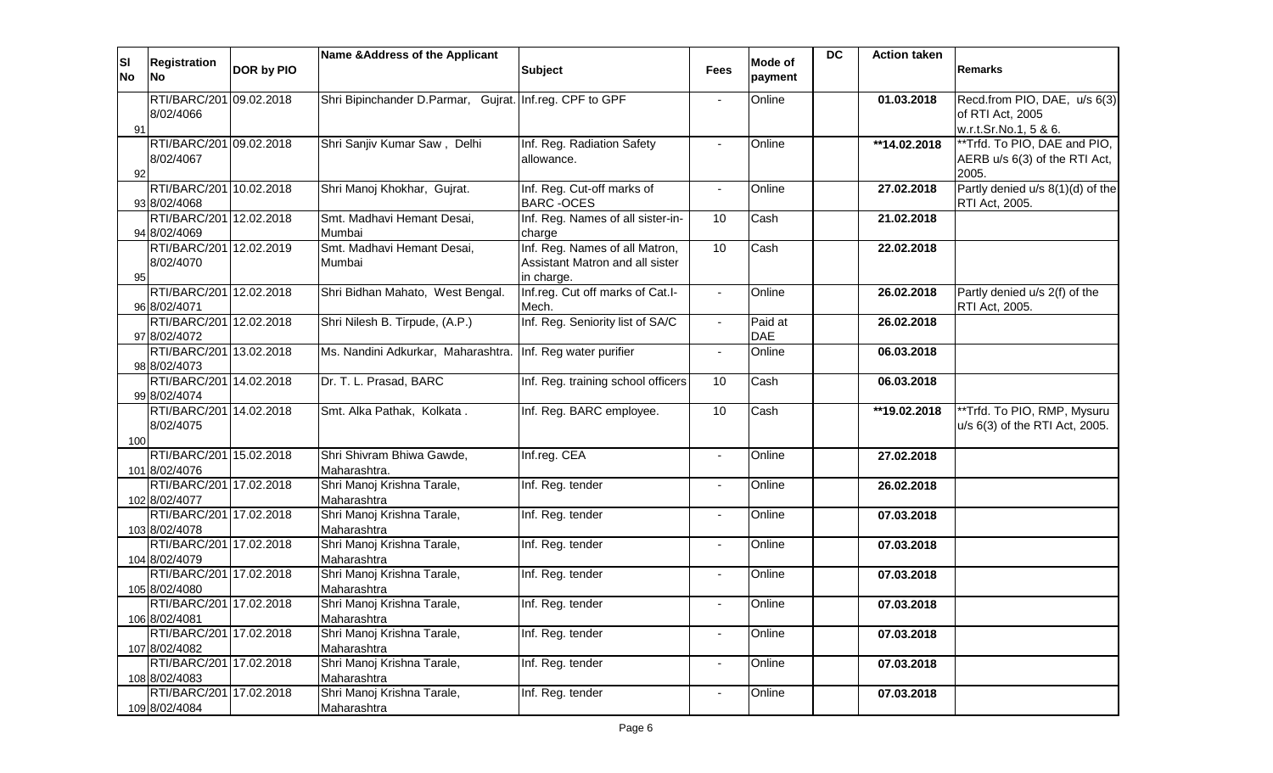| ΙSΙ       | <b>Registration</b>                      |            | Name & Address of the Applicant                            |                                               |                | <b>Mode of</b> | <b>DC</b> | <b>Action taken</b> |                                  |
|-----------|------------------------------------------|------------|------------------------------------------------------------|-----------------------------------------------|----------------|----------------|-----------|---------------------|----------------------------------|
| <b>No</b> | No                                       | DOR by PIO |                                                            | <b>Subject</b>                                | Fees           | payment        |           |                     | <b>Remarks</b>                   |
|           | RTI/BARC/201 09.02.2018                  |            | Shri Bipinchander D.Parmar, Gujrat. Inf.reg. CPF to GPF    |                                               |                | Online         |           | 01.03.2018          | Recd.from PIO, DAE, u/s 6(3)     |
|           | 8/02/4066                                |            |                                                            |                                               |                |                |           |                     | of RTI Act, 2005                 |
| 91        |                                          |            |                                                            |                                               |                |                |           |                     | w.r.t.Sr.No.1, 5 & 6.            |
|           | RTI/BARC/201 09.02.2018                  |            | Shri Sanjiv Kumar Saw, Delhi                               | Inf. Reg. Radiation Safety                    |                | Online         |           | **14.02.2018        | **Trfd. To PIO, DAE and PIO,     |
|           | 8/02/4067                                |            |                                                            | allowance.                                    |                |                |           |                     | AERB u/s 6(3) of the RTI Act,    |
| 92        |                                          |            |                                                            |                                               |                |                |           |                     | 2005.                            |
|           | RTI/BARC/201 10.02.2018                  |            | Shri Manoj Khokhar, Gujrat.                                | Inf. Reg. Cut-off marks of                    | $\sim$         | Online         |           | 27.02.2018          | Partly denied u/s 8(1)(d) of the |
|           | 93 8/02/4068                             |            |                                                            | <b>BARC-OCES</b>                              |                |                |           |                     | RTI Act, 2005.                   |
|           | RTI/BARC/201 12.02.2018                  |            | Smt. Madhavi Hemant Desai,                                 | Inf. Reg. Names of all sister-in-             | 10             | Cash           |           | 21.02.2018          |                                  |
|           | 94 8/02/4069                             |            | Mumbai                                                     | charge                                        |                |                |           |                     |                                  |
|           | RTI/BARC/201 12.02.2019                  |            | Smt. Madhavi Hemant Desai,                                 | Inf. Reg. Names of all Matron,                | 10             | Cash           |           | 22.02.2018          |                                  |
| 95        | 8/02/4070                                |            | Mumbai                                                     | Assistant Matron and all sister<br>in charge. |                |                |           |                     |                                  |
|           | RTI/BARC/201 12.02.2018                  |            | Shri Bidhan Mahato, West Bengal.                           | Inf.reg. Cut off marks of Cat.I-              | $\sim$         | Online         |           | 26.02.2018          | Partly denied u/s 2(f) of the    |
|           | 96 8/02/4071                             |            |                                                            | Mech.                                         |                |                |           |                     | RTI Act, 2005.                   |
|           | RTI/BARC/201 12.02.2018                  |            | Shri Nilesh B. Tirpude, (A.P.)                             | Inf. Reg. Seniority list of SA/C              | $\blacksquare$ | Paid at        |           | 26.02.2018          |                                  |
|           | 97 8/02/4072                             |            |                                                            |                                               |                | <b>DAE</b>     |           |                     |                                  |
|           | RTI/BARC/201 13.02.2018                  |            | Ms. Nandini Adkurkar, Maharashtra. Inf. Reg water purifier |                                               | $\blacksquare$ | Online         |           | 06.03.2018          |                                  |
|           | 98 8/02/4073                             |            |                                                            |                                               |                |                |           |                     |                                  |
|           | RTI/BARC/201 14.02.2018                  |            | Dr. T. L. Prasad, BARC                                     | Inf. Reg. training school officers            | 10             | Cash           |           | 06.03.2018          |                                  |
|           | 99 8/02/4074                             |            |                                                            |                                               |                |                |           |                     |                                  |
|           | RTI/BARC/201 14.02.2018                  |            | Smt. Alka Pathak, Kolkata.                                 | Inf. Reg. BARC employee.                      | 10             | Cash           |           | **19.02.2018        | **Trfd. To PIO, RMP, Mysuru      |
|           | 8/02/4075                                |            |                                                            |                                               |                |                |           |                     | u/s 6(3) of the RTI Act, 2005.   |
| 100       |                                          |            |                                                            |                                               |                |                |           |                     |                                  |
|           | RTI/BARC/201 15.02.2018<br>101 8/02/4076 |            | Shri Shivram Bhiwa Gawde,<br>Maharashtra.                  | Inf.reg. CEA                                  |                | Online         |           | 27.02.2018          |                                  |
|           | RTI/BARC/201 17.02.2018                  |            | Shri Manoj Krishna Tarale,                                 | Inf. Reg. tender                              | $\blacksquare$ | Online         |           | 26.02.2018          |                                  |
|           | 102 8/02/4077                            |            | Maharashtra                                                |                                               |                |                |           |                     |                                  |
|           | RTI/BARC/201 17.02.2018                  |            | Shri Manoj Krishna Tarale,                                 | Inf. Reg. tender                              | $\blacksquare$ | Online         |           | 07.03.2018          |                                  |
|           | 103 8/02/4078                            |            | Maharashtra                                                |                                               |                |                |           |                     |                                  |
|           | RTI/BARC/201 17.02.2018                  |            | Shri Manoj Krishna Tarale,                                 | Inf. Reg. tender                              | $\blacksquare$ | Online         |           | 07.03.2018          |                                  |
|           | 104 8/02/4079                            |            | Maharashtra                                                |                                               |                |                |           |                     |                                  |
|           | RTI/BARC/201 17.02.2018                  |            | Shri Manoj Krishna Tarale,                                 | Inf. Reg. tender                              | $\sim$         | Online         |           | 07.03.2018          |                                  |
|           | 105 8/02/4080                            |            | Maharashtra                                                |                                               |                |                |           |                     |                                  |
|           | RTI/BARC/201 17.02.2018                  |            | Shri Manoj Krishna Tarale,                                 | Inf. Reg. tender                              | $\blacksquare$ | Online         |           | 07.03.2018          |                                  |
|           | 106 8/02/4081                            |            | Maharashtra                                                |                                               |                |                |           |                     |                                  |
|           | RTI/BARC/201 17.02.2018<br>107 8/02/4082 |            | Shri Manoj Krishna Tarale,<br>Maharashtra                  | Inf. Reg. tender                              |                | Online         |           | 07.03.2018          |                                  |
|           | RTI/BARC/201 17.02.2018                  |            | Shri Manoj Krishna Tarale,                                 | Inf. Reg. tender                              | $\blacksquare$ | Online         |           | 07.03.2018          |                                  |
|           | 108 8/02/4083                            |            | Maharashtra                                                |                                               |                |                |           |                     |                                  |
|           | RTI/BARC/201 17.02.2018                  |            | Shri Manoj Krishna Tarale,                                 | Inf. Reg. tender                              | $\blacksquare$ | Online         |           | 07.03.2018          |                                  |
|           | 109 8/02/4084                            |            | Maharashtra                                                |                                               |                |                |           |                     |                                  |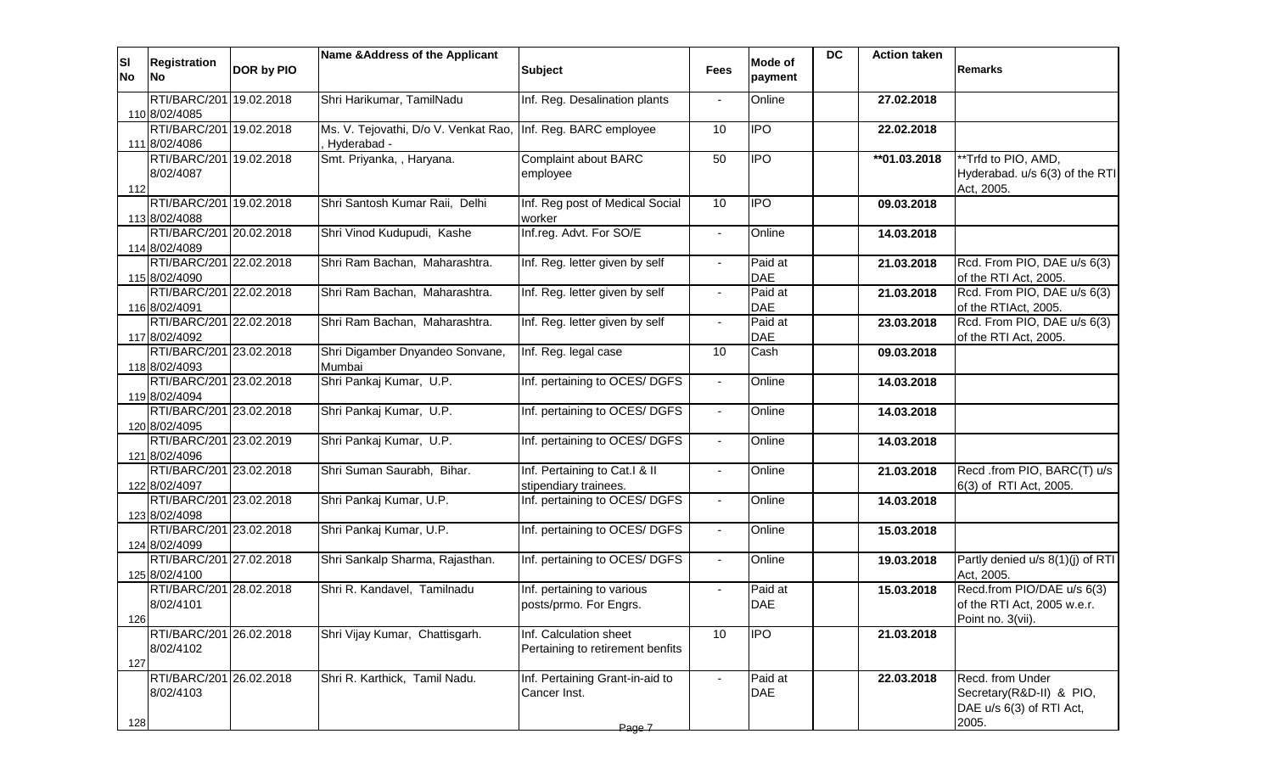| ΙSΙ<br><b>No</b> | <b>Registration</b><br><b>No</b>         | DOR by PIO | Name & Address of the Applicant                                             | <b>Subject</b>                                             | <b>Fees</b>    | Mode of<br>payment    | <b>DC</b> | <b>Action taken</b> | <b>Remarks</b>                                                                    |
|------------------|------------------------------------------|------------|-----------------------------------------------------------------------------|------------------------------------------------------------|----------------|-----------------------|-----------|---------------------|-----------------------------------------------------------------------------------|
|                  | RTI/BARC/201 19.02.2018<br>110 8/02/4085 |            | Shri Harikumar, TamilNadu                                                   | Inf. Reg. Desalination plants                              |                | Online                |           | 27.02.2018          |                                                                                   |
|                  | RTI/BARC/201 19.02.2018<br>111 8/02/4086 |            | Ms. V. Tejovathi, D/o V. Venkat Rao, Inf. Reg. BARC employee<br>Hyderabad - |                                                            | 10             | <b>IPO</b>            |           | 22.02.2018          |                                                                                   |
| 112              | RTI/BARC/201 19.02.2018<br>8/02/4087     |            | Smt. Priyanka, , Haryana.                                                   | <b>Complaint about BARC</b><br>employee                    | 50             | <b>IPO</b>            |           | **01.03.2018        | **Trfd to PIO, AMD,<br>Hyderabad. u/s 6(3) of the RTI<br>Act, 2005.               |
|                  | RTI/BARC/201 19.02.2018<br>113 8/02/4088 |            | Shri Santosh Kumar Raii, Delhi                                              | Inf. Reg post of Medical Social<br>worker                  | 10             | <b>IPO</b>            |           | 09.03.2018          |                                                                                   |
|                  | RTI/BARC/201 20.02.2018<br>114 8/02/4089 |            | Shri Vinod Kudupudi, Kashe                                                  | Inf.reg. Advt. For SO/E                                    | $\sim$         | Online                |           | 14.03.2018          |                                                                                   |
|                  | RTI/BARC/201 22.02.2018<br>115 8/02/4090 |            | Shri Ram Bachan, Maharashtra.                                               | Inf. Reg. letter given by self                             | $\blacksquare$ | Paid at<br><b>DAE</b> |           | 21.03.2018          | Rcd. From PIO, DAE u/s 6(3)<br>of the RTI Act, 2005.                              |
|                  | RTI/BARC/201 22.02.2018<br>116 8/02/4091 |            | Shri Ram Bachan, Maharashtra.                                               | Inf. Reg. letter given by self                             | $\Delta$       | Paid at<br><b>DAE</b> |           | 21.03.2018          | Rcd. From PIO, DAE u/s 6(3)<br>of the RTIAct, 2005.                               |
|                  | RTI/BARC/201 22.02.2018<br>117 8/02/4092 |            | Shri Ram Bachan, Maharashtra.                                               | Inf. Reg. letter given by self                             | $\blacksquare$ | Paid at<br><b>DAE</b> |           | 23.03.2018          | Rcd. From PIO, DAE u/s 6(3)<br>of the RTI Act, 2005.                              |
|                  | RTI/BARC/201 23.02.2018<br>118 8/02/4093 |            | Shri Digamber Dnyandeo Sonvane,<br>Mumbai                                   | Inf. Reg. legal case                                       | 10             | Cash                  |           | 09.03.2018          |                                                                                   |
|                  | RTI/BARC/201 23.02.2018<br>119 8/02/4094 |            | Shri Pankaj Kumar, U.P.                                                     | Inf. pertaining to OCES/ DGFS                              | $\blacksquare$ | Online                |           | 14.03.2018          |                                                                                   |
|                  | RTI/BARC/201 23.02.2018<br>120 8/02/4095 |            | Shri Pankaj Kumar, U.P.                                                     | Inf. pertaining to OCES/ DGFS                              | $\sim$         | Online                |           | 14.03.2018          |                                                                                   |
|                  | RTI/BARC/201 23.02.2019<br>121 8/02/4096 |            | Shri Pankaj Kumar, U.P.                                                     | Inf. pertaining to OCES/ DGFS                              | $\sim$         | Online                |           | 14.03.2018          |                                                                                   |
|                  | RTI/BARC/201 23.02.2018<br>122 8/02/4097 |            | Shri Suman Saurabh, Bihar.                                                  | Inf. Pertaining to Cat.I & II<br>stipendiary trainees.     |                | Online                |           | 21.03.2018          | Recd .from PIO, BARC(T) u/s<br>6(3) of RTI Act, 2005.                             |
|                  | RTI/BARC/201 23.02.2018<br>123 8/02/4098 |            | Shri Pankaj Kumar, U.P.                                                     | Inf. pertaining to OCES/ DGFS                              |                | Online                |           | 14.03.2018          |                                                                                   |
|                  | RTI/BARC/201 23.02.2018<br>124 8/02/4099 |            | Shri Pankaj Kumar, U.P.                                                     | Inf. pertaining to OCES/ DGFS                              |                | Online                |           | 15.03.2018          |                                                                                   |
|                  | RTI/BARC/201 27.02.2018<br>125 8/02/4100 |            | Shri Sankalp Sharma, Rajasthan.                                             | Inf. pertaining to OCES/ DGFS                              | $\blacksquare$ | Online                |           | 19.03.2018          | Partly denied u/s 8(1)(j) of RTI<br>Act, 2005.                                    |
| 126              | RTI/BARC/201 28.02.2018<br>8/02/4101     |            | Shri R. Kandavel, Tamilnadu                                                 | Inf. pertaining to various<br>posts/prmo. For Engrs.       | $\blacksquare$ | Paid at<br><b>DAE</b> |           | 15.03.2018          | Recd.from PIO/DAE u/s 6(3)<br>of the RTI Act, 2005 w.e.r.<br>Point no. 3(vii).    |
| 127              | RTI/BARC/201 26.02.2018<br>8/02/4102     |            | Shri Vijay Kumar, Chattisgarh.                                              | Inf. Calculation sheet<br>Pertaining to retirement benfits | 10             | IPO                   |           | 21.03.2018          |                                                                                   |
| 128              | RTI/BARC/201 26.02.2018<br>8/02/4103     |            | Shri R. Karthick, Tamil Nadu.                                               | Inf. Pertaining Grant-in-aid to<br>Cancer Inst.            |                | Paid at<br><b>DAE</b> |           | 22.03.2018          | Recd. from Under<br>Secretary(R&D-II) & PIO,<br>DAE u/s 6(3) of RTI Act,<br>2005. |
|                  |                                          |            |                                                                             | Page 7                                                     |                |                       |           |                     |                                                                                   |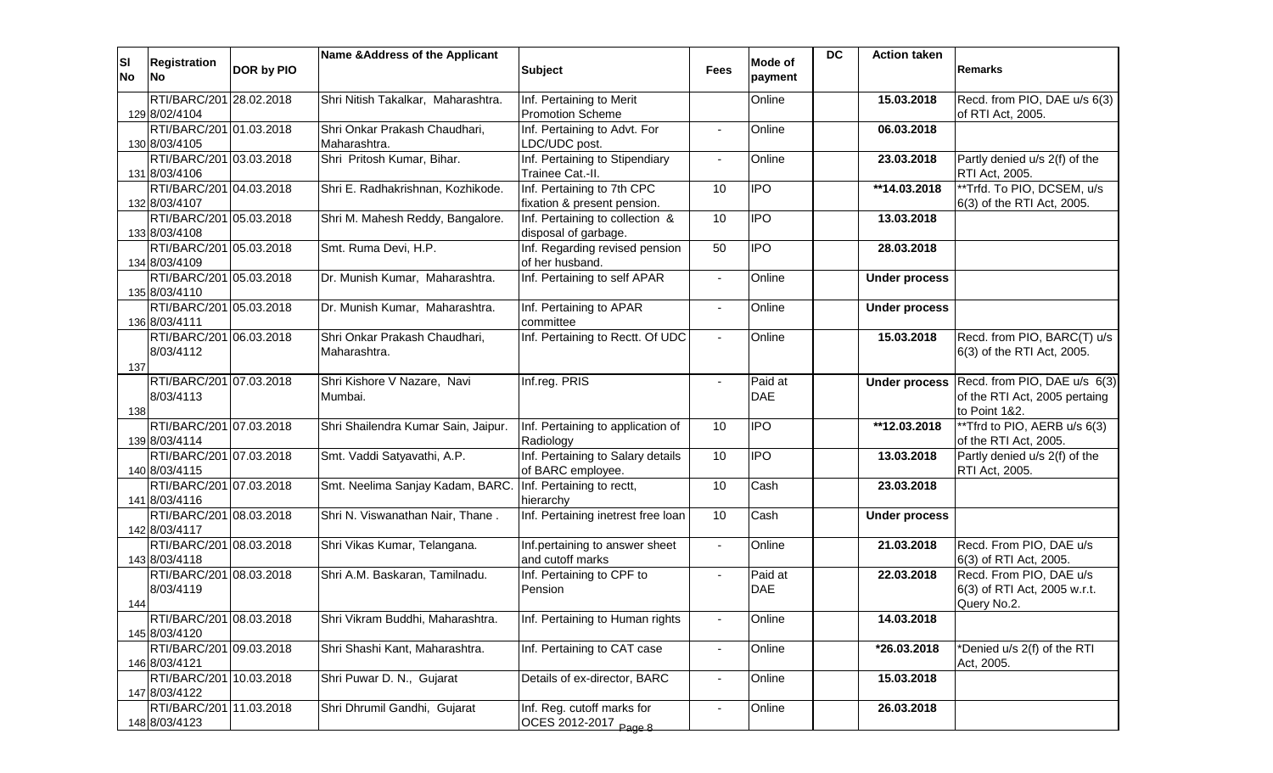| <b>SI</b><br><b>No</b> | <b>Registration</b><br><b>No</b>         | DOR by PIO | Name & Address of the Applicant                            | <b>Subject</b>                                         | <b>Fees</b>    | <b>Mode of</b><br>payment | <b>DC</b> | <b>Action taken</b>  | <b>Remarks</b>                                  |
|------------------------|------------------------------------------|------------|------------------------------------------------------------|--------------------------------------------------------|----------------|---------------------------|-----------|----------------------|-------------------------------------------------|
|                        | RTI/BARC/201 28.02.2018                  |            | Shri Nitish Takalkar, Maharashtra.                         | Inf. Pertaining to Merit                               |                | Online                    |           | 15.03.2018           | Recd. from PIO, DAE u/s 6(3)                    |
|                        | 129 8/02/4104                            |            |                                                            | <b>Promotion Scheme</b>                                |                |                           |           |                      | of RTI Act, 2005.                               |
|                        | RTI/BARC/201 01.03.2018                  |            | Shri Onkar Prakash Chaudhari,                              | Inf. Pertaining to Advt. For                           |                | Online                    |           | 06.03.2018           |                                                 |
|                        | 130 8/03/4105<br>RTI/BARC/201 03.03.2018 |            | Maharashtra.<br>Shri Pritosh Kumar, Bihar.                 | LDC/UDC post.<br>Inf. Pertaining to Stipendiary        |                | Online                    |           | 23.03.2018           | Partly denied u/s 2(f) of the                   |
|                        | 131 8/03/4106                            |            |                                                            | Trainee Cat.-II.                                       |                |                           |           |                      | RTI Act, 2005.                                  |
|                        | RTI/BARC/201 04.03.2018                  |            | Shri E. Radhakrishnan, Kozhikode.                          | Inf. Pertaining to 7th CPC                             | 10             | <b>IPO</b>                |           | **14.03.2018         | ** Trfd. To PIO, DCSEM, u/s                     |
|                        | 132 8/03/4107                            |            |                                                            | fixation & present pension.                            |                |                           |           |                      | 6(3) of the RTI Act, 2005.                      |
|                        | RTI/BARC/201 05.03.2018                  |            | Shri M. Mahesh Reddy, Bangalore.                           | Inf. Pertaining to collection &                        | 10             | <b>IPO</b>                |           | 13.03.2018           |                                                 |
|                        | 133 8/03/4108                            |            |                                                            | disposal of garbage.                                   |                |                           |           |                      |                                                 |
|                        | RTI/BARC/201 05.03.2018                  |            | Smt. Ruma Devi, H.P.                                       | Inf. Regarding revised pension                         | 50             | <b>IPO</b>                |           | 28.03.2018           |                                                 |
|                        | 134 8/03/4109                            |            |                                                            | of her husband.                                        |                |                           |           |                      |                                                 |
|                        | RTI/BARC/201 05.03.2018                  |            | Dr. Munish Kumar, Maharashtra.                             | Inf. Pertaining to self APAR                           | $\blacksquare$ | Online                    |           | <b>Under process</b> |                                                 |
|                        | 135 8/03/4110<br>RTI/BARC/201 05.03.2018 |            | Dr. Munish Kumar, Maharashtra.                             | Inf. Pertaining to APAR                                | $\blacksquare$ | Online                    |           | <b>Under process</b> |                                                 |
|                        | 136 8/03/4111                            |            |                                                            | committee                                              |                |                           |           |                      |                                                 |
|                        | RTI/BARC/201 06.03.2018                  |            | Shri Onkar Prakash Chaudhari,                              | Inf. Pertaining to Rectt. Of UDC                       | $\Delta$       | Online                    |           | 15.03.2018           | Recd. from PIO, BARC(T) u/s                     |
|                        | 8/03/4112                                |            | Maharashtra.                                               |                                                        |                |                           |           |                      | 6(3) of the RTI Act, 2005.                      |
| 137                    |                                          |            |                                                            |                                                        |                |                           |           |                      |                                                 |
|                        | RTI/BARC/201 07.03.2018                  |            | Shri Kishore V Nazare, Navi                                | Inf.reg. PRIS                                          | $\blacksquare$ | Paid at                   |           | <b>Under process</b> | Recd. from PIO, DAE u/s 6(3)                    |
|                        | 8/03/4113                                |            | Mumbai.                                                    |                                                        |                | <b>DAE</b>                |           |                      | of the RTI Act, 2005 pertaing                   |
| 138                    |                                          |            |                                                            |                                                        |                |                           |           |                      | to Point 1&2.                                   |
|                        | RTI/BARC/201 07.03.2018                  |            | Shri Shailendra Kumar Sain, Jaipur.                        | Inf. Pertaining to application of                      | 10             | <b>IPO</b>                |           | **12.03.2018         | **Tfrd to PIO, AERB u/s 6(3)                    |
|                        | 139 8/03/4114<br>RTI/BARC/201 07.03.2018 |            |                                                            | Radiology                                              |                | IPO                       |           |                      | of the RTI Act, 2005.                           |
|                        | 140 8/03/4115                            |            | Smt. Vaddi Satyavathi, A.P.                                | Inf. Pertaining to Salary details<br>of BARC employee. | 10             |                           |           | 13.03.2018           | Partly denied u/s 2(f) of the<br>RTI Act, 2005. |
|                        | RTI/BARC/201 07.03.2018                  |            | Smt. Neelima Sanjay Kadam, BARC. Inf. Pertaining to rectt, |                                                        | 10             | Cash                      |           | 23.03.2018           |                                                 |
|                        | 141 8/03/4116                            |            |                                                            | hierarchy                                              |                |                           |           |                      |                                                 |
|                        | RTI/BARC/201 08.03.2018                  |            | Shri N. Viswanathan Nair, Thane.                           | Inf. Pertaining inetrest free loan                     | 10             | Cash                      |           | <b>Under process</b> |                                                 |
|                        | 142 8/03/4117                            |            |                                                            |                                                        |                |                           |           |                      |                                                 |
|                        | RTI/BARC/201 08.03.2018                  |            | Shri Vikas Kumar, Telangana.                               | Inf.pertaining to answer sheet                         | $\blacksquare$ | Online                    |           | 21.03.2018           | Recd. From PIO, DAE u/s                         |
|                        | 143 8/03/4118                            |            |                                                            | and cutoff marks                                       |                |                           |           |                      | 6(3) of RTI Act, 2005.                          |
|                        | RTI/BARC/201 08.03.2018                  |            | Shri A.M. Baskaran, Tamilnadu.                             | Inf. Pertaining to CPF to                              |                | Paid at                   |           | 22.03.2018           | Recd. From PIO, DAE u/s                         |
|                        | 8/03/4119                                |            |                                                            | Pension                                                |                | <b>DAE</b>                |           |                      | 6(3) of RTI Act, 2005 w.r.t.                    |
| 144                    | RTI/BARC/201 08.03.2018                  |            |                                                            |                                                        |                |                           |           |                      | Query No.2.                                     |
|                        | 145 8/03/4120                            |            | Shri Vikram Buddhi, Maharashtra.                           | Inf. Pertaining to Human rights                        | $\blacksquare$ | Online                    |           | 14.03.2018           |                                                 |
|                        | RTI/BARC/201 09.03.2018                  |            | Shri Shashi Kant, Maharashtra.                             | Inf. Pertaining to CAT case                            | $\blacksquare$ | Online                    |           | *26.03.2018          | *Denied u/s 2(f) of the RTI                     |
|                        | 146 8/03/4121                            |            |                                                            |                                                        |                |                           |           |                      | Act, 2005.                                      |
|                        | RTI/BARC/201 10.03.2018                  |            | Shri Puwar D. N., Gujarat                                  | Details of ex-director, BARC                           | $\blacksquare$ | Online                    |           | 15.03.2018           |                                                 |
|                        | 147 8/03/4122                            |            |                                                            |                                                        |                |                           |           |                      |                                                 |
|                        | RTI/BARC/201 11.03.2018                  |            | Shri Dhrumil Gandhi, Gujarat                               | Inf. Reg. cutoff marks for                             | $\blacksquare$ | Online                    |           | 26.03.2018           |                                                 |
|                        | 148 8/03/4123                            |            |                                                            | OCES 2012-2017 Page 8                                  |                |                           |           |                      |                                                 |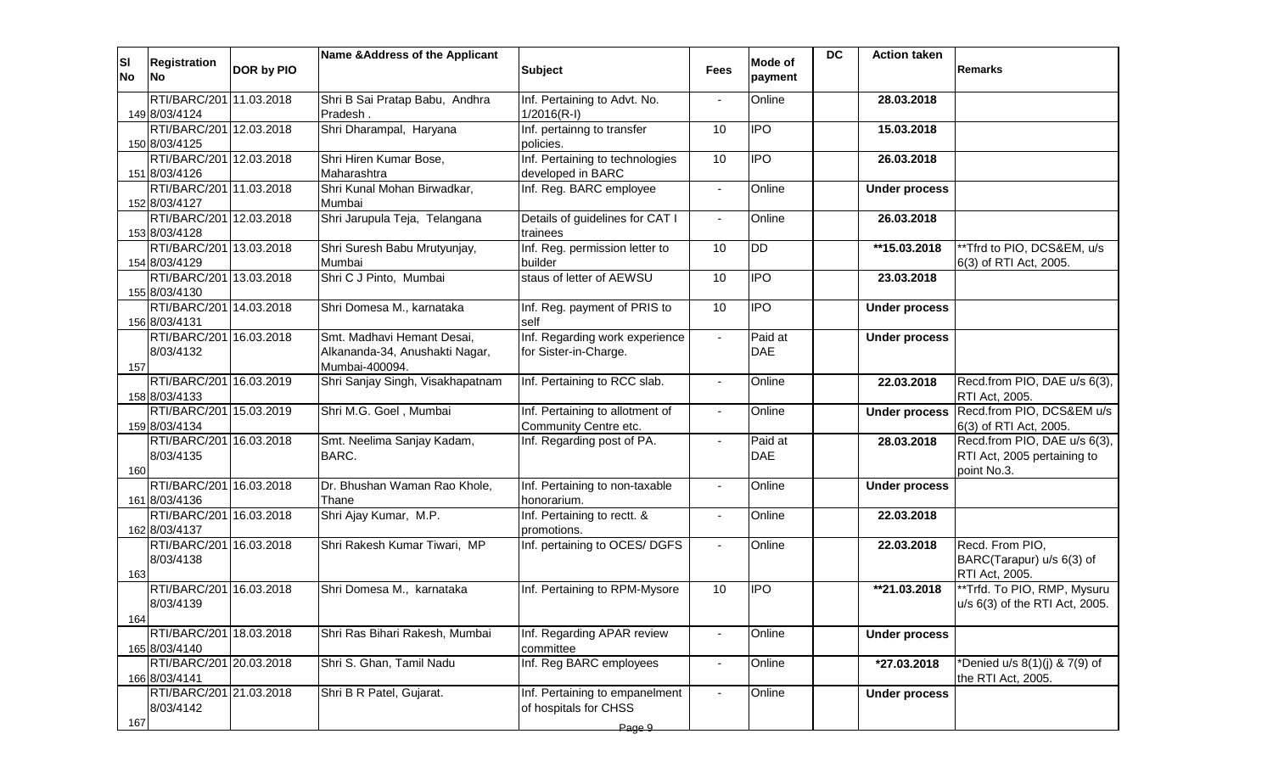| <b>SI</b><br>No | <b>Registration</b><br>lNo.              | DOR by PIO | Name & Address of the Applicant     | <b>Subject</b>                                          | <b>Fees</b>    | Mode of<br>payment | <b>DC</b> | <b>Action taken</b>  | <b>Remarks</b>                                         |
|-----------------|------------------------------------------|------------|-------------------------------------|---------------------------------------------------------|----------------|--------------------|-----------|----------------------|--------------------------------------------------------|
|                 | RTI/BARC/201 11.03.2018                  |            | Shri B Sai Pratap Babu, Andhra      | Inf. Pertaining to Advt. No.                            |                | Online             |           | 28.03.2018           |                                                        |
|                 | 149 8/03/4124<br>RTI/BARC/201 12.03.2018 |            | Pradesh.<br>Shri Dharampal, Haryana | $1/2016(R-I)$<br>Inf. pertainng to transfer             | 10             | <b>IPO</b>         |           | 15.03.2018           |                                                        |
|                 | 150 8/03/4125                            |            |                                     | policies.                                               |                |                    |           |                      |                                                        |
|                 | RTI/BARC/201 12.03.2018                  |            | Shri Hiren Kumar Bose,              | Inf. Pertaining to technologies                         | 10             | <b>IPO</b>         |           | 26.03.2018           |                                                        |
|                 | 151 8/03/4126                            |            | Maharashtra                         | developed in BARC                                       |                |                    |           |                      |                                                        |
|                 | RTI/BARC/201 11.03.2018                  |            | Shri Kunal Mohan Birwadkar,         | Inf. Reg. BARC employee                                 | $\blacksquare$ | Online             |           | <b>Under process</b> |                                                        |
|                 | 152 8/03/4127<br>RTI/BARC/201 12.03.2018 |            | Mumbai                              |                                                         |                |                    |           |                      |                                                        |
|                 | 153 8/03/4128                            |            | Shri Jarupula Teja, Telangana       | Details of guidelines for CAT I<br>trainees             | $\blacksquare$ | Online             |           | 26.03.2018           |                                                        |
|                 | RTI/BARC/201 13.03.2018                  |            | Shri Suresh Babu Mrutyunjay,        | Inf. Reg. permission letter to                          | 10             | <b>DD</b>          |           | **15.03.2018         | **Tfrd to PIO, DCS&EM, u/s                             |
|                 | 154 8/03/4129                            |            | Mumbai                              | builder                                                 |                |                    |           |                      | 6(3) of RTI Act, 2005.                                 |
|                 | RTI/BARC/201 13.03.2018                  |            | Shri C J Pinto, Mumbai              | staus of letter of AEWSU                                | 10             | <b>IPO</b>         |           | 23.03.2018           |                                                        |
|                 | 155 8/03/4130                            |            |                                     |                                                         |                |                    |           |                      |                                                        |
|                 | RTI/BARC/201 14.03.2018<br>156 8/03/4131 |            | Shri Domesa M., karnataka           | Inf. Reg. payment of PRIS to<br>self                    | 10             | <b>IPO</b>         |           | <b>Under process</b> |                                                        |
|                 | RTI/BARC/201 16.03.2018                  |            | Smt. Madhavi Hemant Desai,          | Inf. Regarding work experience                          | $\Delta$       | Paid at            |           | <b>Under process</b> |                                                        |
|                 | 8/03/4132                                |            | Alkananda-34, Anushakti Nagar,      | for Sister-in-Charge.                                   |                | <b>DAE</b>         |           |                      |                                                        |
| 157             |                                          |            | Mumbai-400094.                      |                                                         |                |                    |           |                      |                                                        |
|                 | RTI/BARC/201 16.03.2019<br>158 8/03/4133 |            | Shri Sanjay Singh, Visakhapatnam    | Inf. Pertaining to RCC slab.                            | $\blacksquare$ | Online             |           | 22.03.2018           | Recd.from PIO, DAE u/s 6(3),<br>RTI Act, 2005.         |
|                 | RTI/BARC/201<br>159 8/03/4134            | 15.03.2019 | Shri M.G. Goel, Mumbai              | Inf. Pertaining to allotment of                         | $\sim$         | Online             |           | <b>Under process</b> | Recd.from PIO, DCS&EM u/s                              |
|                 | RTI/BARC/201 16.03.2018                  |            | Smt. Neelima Sanjay Kadam,          | Community Centre etc.<br>Inf. Regarding post of PA.     |                | Paid at            |           | 28.03.2018           | 6(3) of RTI Act, 2005.<br>Recd.from PIO, DAE u/s 6(3), |
|                 | 8/03/4135                                |            | BARC.                               |                                                         |                | <b>DAE</b>         |           |                      | RTI Act, 2005 pertaining to                            |
| 160             |                                          |            |                                     |                                                         |                |                    |           |                      | point No.3.                                            |
|                 | RTI/BARC/201 16.03.2018                  |            | Dr. Bhushan Waman Rao Khole,        | Inf. Pertaining to non-taxable                          |                | Online             |           | <b>Under process</b> |                                                        |
|                 | 161 8/03/4136                            |            | Thane                               | honorarium.                                             |                |                    |           |                      |                                                        |
|                 | RTI/BARC/201 16.03.2018<br>162 8/03/4137 |            | Shri Ajay Kumar, M.P.               | Inf. Pertaining to rectt. &<br>promotions.              |                | Online             |           | 22.03.2018           |                                                        |
|                 | RTI/BARC/201 16.03.2018                  |            | Shri Rakesh Kumar Tiwari, MP        | Inf. pertaining to OCES/ DGFS                           |                | Online             |           | 22.03.2018           | Recd. From PIO.                                        |
|                 | 8/03/4138                                |            |                                     |                                                         |                |                    |           |                      | BARC(Tarapur) u/s 6(3) of                              |
| 163             |                                          |            |                                     |                                                         |                |                    |           |                      | RTI Act, 2005.                                         |
|                 | RTI/BARC/201                             | 16.03.2018 | Shri Domesa M., karnataka           | Inf. Pertaining to RPM-Mysore                           | 10             | <b>IPO</b>         |           | **21.03.2018         | **Trfd. To PIO, RMP, Mysuru                            |
|                 | 8/03/4139                                |            |                                     |                                                         |                |                    |           |                      | u/s 6(3) of the RTI Act, 2005.                         |
| 164             | RTI/BARC/201 18.03.2018                  |            | Shri Ras Bihari Rakesh, Mumbai      | Inf. Regarding APAR review                              | $\blacksquare$ | Online             |           | <b>Under process</b> |                                                        |
|                 | 165 8/03/4140                            |            |                                     | committee                                               |                |                    |           |                      |                                                        |
|                 | RTI/BARC/201 20.03.2018                  |            | Shri S. Ghan, Tamil Nadu            | Inf. Reg BARC employees                                 | $\blacksquare$ | Online             |           | *27.03.2018          | *Denied u/s 8(1)(j) & 7(9) of                          |
|                 | 166 8/03/4141                            |            |                                     |                                                         |                |                    |           |                      | the RTI Act, 2005.                                     |
|                 | RTI/BARC/201 21.03.2018<br>8/03/4142     |            | Shri B R Patel, Gujarat.            | Inf. Pertaining to empanelment<br>of hospitals for CHSS |                | Online             |           | <b>Under process</b> |                                                        |
| 167             |                                          |            |                                     |                                                         |                |                    |           |                      |                                                        |
|                 |                                          |            |                                     | Page 9                                                  |                |                    |           |                      |                                                        |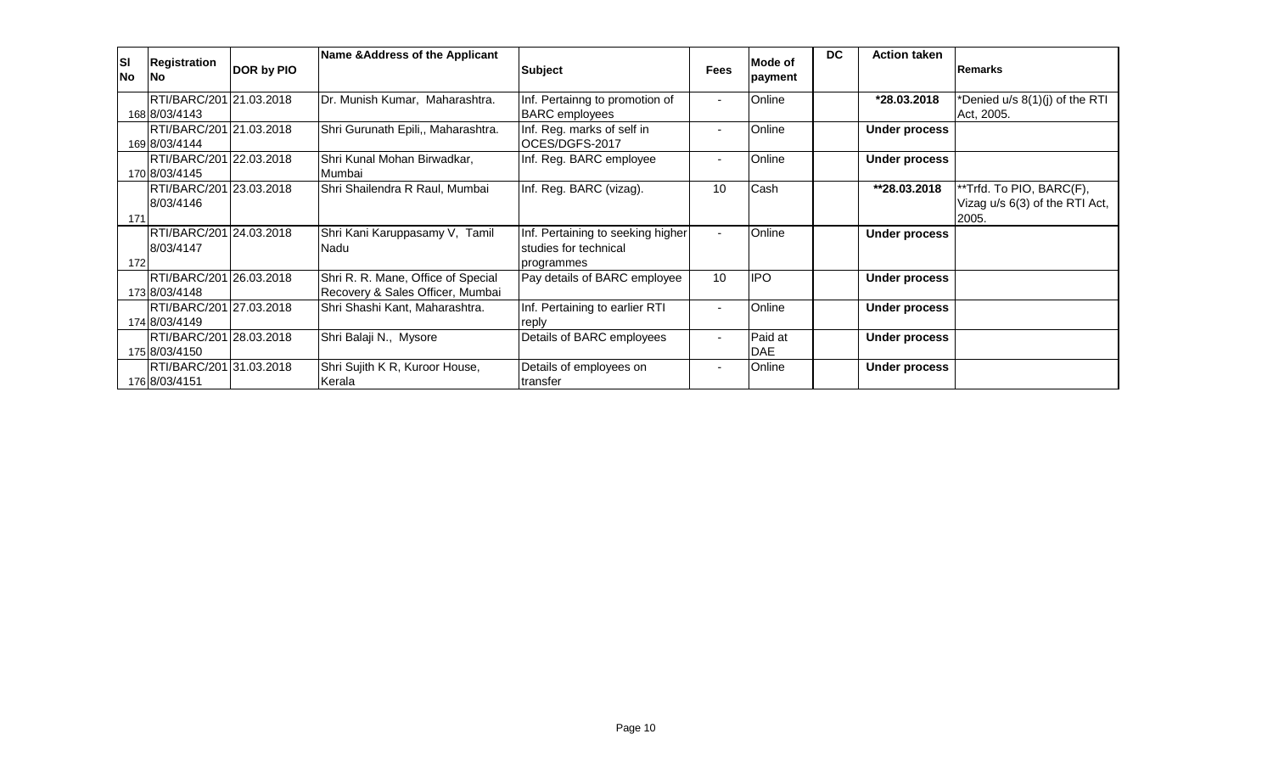| <b>SI</b><br><b>No</b> | <b>Registration</b><br><b>INo</b>        | DOR by PIO | Name & Address of the Applicant                                        | <b>Subject</b>                                                           | <b>Fees</b> | Mode of<br>payment | <b>DC</b> | <b>Action taken</b>  | <b>Remarks</b>                                                      |
|------------------------|------------------------------------------|------------|------------------------------------------------------------------------|--------------------------------------------------------------------------|-------------|--------------------|-----------|----------------------|---------------------------------------------------------------------|
|                        | RTI/BARC/201 21.03.2018<br>168 8/03/4143 |            | Dr. Munish Kumar, Maharashtra.                                         | Inf. Pertainng to promotion of<br><b>BARC</b> employees                  |             | Online             |           | *28.03.2018          | *Denied u/s 8(1)(j) of the RTI<br>Act, 2005.                        |
|                        | RTI/BARC/201 21.03.2018<br>169 8/03/4144 |            | Shri Gurunath Epili,, Maharashtra.                                     | Inf. Reg. marks of self in<br>OCES/DGFS-2017                             |             | Online             |           | <b>Under process</b> |                                                                     |
|                        | RTI/BARC/201 22.03.2018<br>170 8/03/4145 |            | Shri Kunal Mohan Birwadkar,<br>Mumbai                                  | Inf. Reg. BARC employee                                                  |             | Online             |           | <b>Under process</b> |                                                                     |
| 171                    | RTI/BARC/201 23.03.2018<br>8/03/4146     |            | Shri Shailendra R Raul, Mumbai                                         | Inf. Reg. BARC (vizag).                                                  | 10          | Cash               |           | **28.03.2018         | **Trfd. To PIO, BARC(F),<br>Vizag u/s 6(3) of the RTI Act,<br>2005. |
| 172                    | RTI/BARC/201 24.03.2018<br>8/03/4147     |            | Shri Kani Karuppasamy V, Tamil<br>Nadu                                 | Inf. Pertaining to seeking higher<br>studies for technical<br>programmes |             | Online             |           | <b>Under process</b> |                                                                     |
|                        | RTI/BARC/201 26.03.2018<br>173 8/03/4148 |            | Shri R. R. Mane, Office of Special<br>Recovery & Sales Officer, Mumbai | Pay details of BARC employee                                             | 10          | <b>IPO</b>         |           | <b>Under process</b> |                                                                     |
|                        | RTI/BARC/201 27.03.2018<br>174 8/03/4149 |            | Shri Shashi Kant, Maharashtra.                                         | Inf. Pertaining to earlier RTI<br>reply                                  |             | Online             |           | <b>Under process</b> |                                                                     |
|                        | RTI/BARC/201 28.03.2018<br>175 8/03/4150 |            | Shri Balaji N., Mysore                                                 | Details of BARC employees                                                |             | Paid at<br>DAE     |           | <b>Under process</b> |                                                                     |
|                        | RTI/BARC/201 31.03.2018<br>176 8/03/4151 |            | Shri Sujith K R, Kuroor House,<br>Kerala                               | Details of employees on<br>transfer                                      |             | Online             |           | <b>Under process</b> |                                                                     |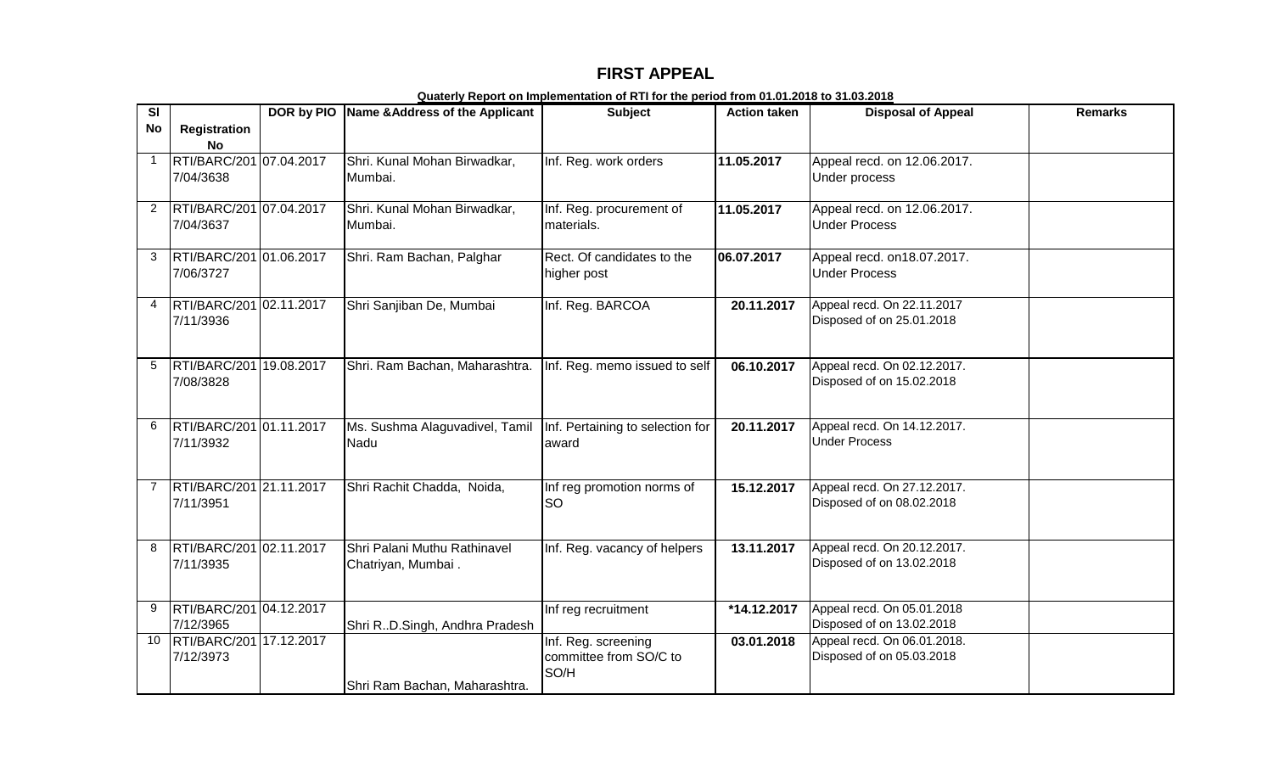## **FIRST APPEAL**

| $\overline{\mathbf{s}}$ |                                      | DOR by PIO Name & Address of the Applicant         | <b>Subject</b>                                        | <b>Action taken</b> | <b>Disposal of Appeal</b>                                | <b>Remarks</b> |
|-------------------------|--------------------------------------|----------------------------------------------------|-------------------------------------------------------|---------------------|----------------------------------------------------------|----------------|
| <b>No</b>               | <b>Registration</b><br><b>No</b>     |                                                    |                                                       |                     |                                                          |                |
| $\mathbf 1$             | RTI/BARC/201 07.04.2017<br>7/04/3638 | Shri. Kunal Mohan Birwadkar,<br>Mumbai.            | Inf. Reg. work orders                                 | 11.05.2017          | Appeal recd. on 12.06.2017.<br>Under process             |                |
|                         | RTI/BARC/201 07.04.2017<br>7/04/3637 | Shri. Kunal Mohan Birwadkar,<br>Mumbai.            | Inf. Reg. procurement of<br>materials.                | 11.05.2017          | Appeal recd. on 12.06.2017.<br><b>Under Process</b>      |                |
| 3                       | RTI/BARC/201 01.06.2017<br>7/06/3727 | Shri. Ram Bachan, Palghar                          | Rect. Of candidates to the<br>higher post             | 06.07.2017          | Appeal recd. on 18.07.2017.<br><b>Under Process</b>      |                |
|                         | RTI/BARC/201 02.11.2017<br>7/11/3936 | Shri Sanjiban De, Mumbai                           | Inf. Reg. BARCOA                                      | 20.11.2017          | Appeal recd. On 22.11.2017<br>Disposed of on 25.01.2018  |                |
| 5                       | RTI/BARC/201 19.08.2017<br>7/08/3828 | Shri. Ram Bachan, Maharashtra.                     | Inf. Reg. memo issued to self                         | 06.10.2017          | Appeal recd. On 02.12.2017.<br>Disposed of on 15.02.2018 |                |
| 6                       | RTI/BARC/201 01.11.2017<br>7/11/3932 | Ms. Sushma Alaguvadivel, Tamil<br>Nadu             | Inf. Pertaining to selection for<br>award             | 20.11.2017          | Appeal recd. On 14.12.2017.<br><b>Under Process</b>      |                |
| 7                       | RTI/BARC/201 21.11.2017<br>7/11/3951 | Shri Rachit Chadda, Noida,                         | Inf reg promotion norms of<br>SO                      | 15.12.2017          | Appeal recd. On 27.12.2017.<br>Disposed of on 08.02.2018 |                |
| 8                       | RTI/BARC/201 02.11.2017<br>7/11/3935 | Shri Palani Muthu Rathinavel<br>Chatriyan, Mumbai. | Inf. Reg. vacancy of helpers                          | 13.11.2017          | Appeal recd. On 20.12.2017.<br>Disposed of on 13.02.2018 |                |
| 9                       | RTI/BARC/201 04.12.2017<br>7/12/3965 | Shri RD.Singh, Andhra Pradesh                      | Inf reg recruitment                                   | *14.12.2017         | Appeal recd. On 05.01.2018<br>Disposed of on 13.02.2018  |                |
| 10                      | RTI/BARC/201 17.12.2017<br>7/12/3973 | Shri Ram Bachan, Maharashtra.                      | Inf. Reg. screening<br>committee from SO/C to<br>SO/H | 03.01.2018          | Appeal recd. On 06.01.2018.<br>Disposed of on 05.03.2018 |                |

**Quaterly Report on Implementation of RTI for the period from 01.01.2018 to 31.03.2018**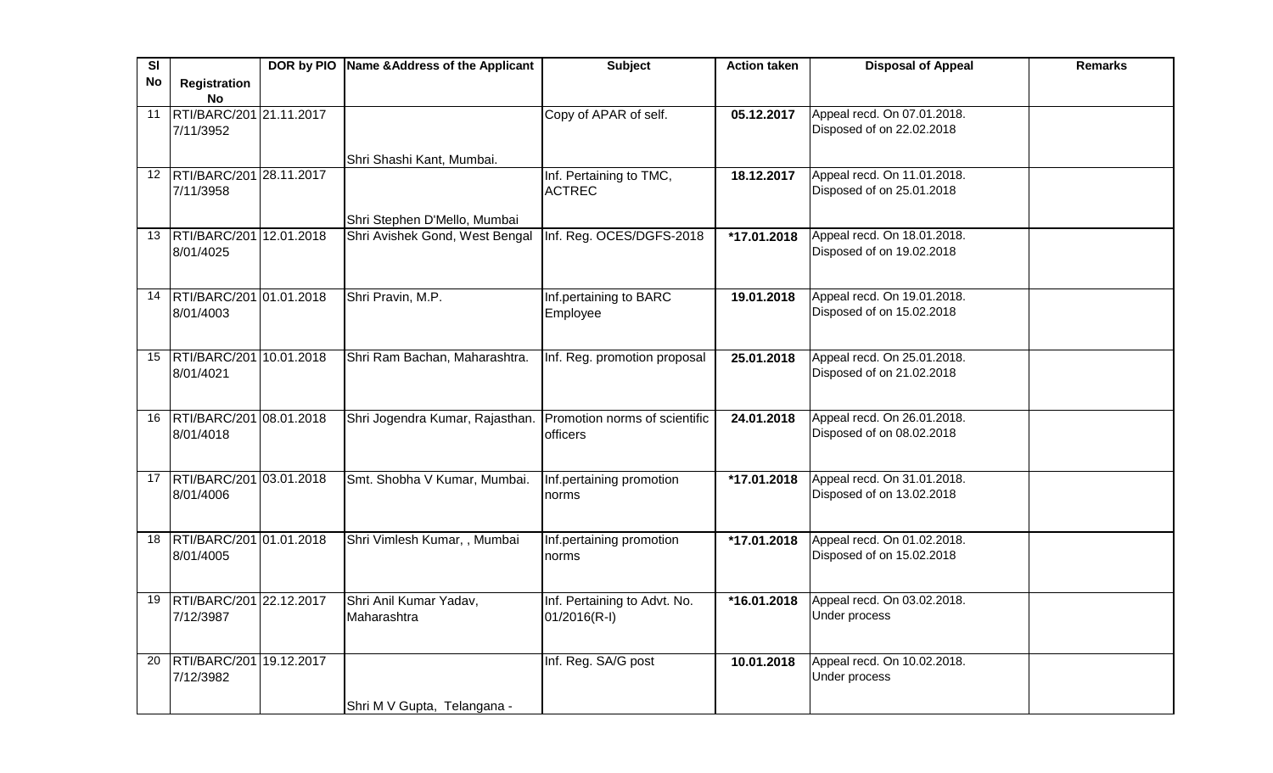| SI |                                            | DOR by PIO Name & Address of the Applicant                    | <b>Subject</b>               | <b>Action taken</b> | <b>Disposal of Appeal</b>                                | <b>Remarks</b> |
|----|--------------------------------------------|---------------------------------------------------------------|------------------------------|---------------------|----------------------------------------------------------|----------------|
| No | Registration                               |                                                               |                              |                     |                                                          |                |
|    | <b>No</b>                                  |                                                               |                              |                     |                                                          |                |
| 11 | RTI/BARC/201 21.11.2017                    |                                                               | Copy of APAR of self.        | 05.12.2017          | Appeal recd. On 07.01.2018.                              |                |
|    | 7/11/3952                                  |                                                               |                              |                     | Disposed of on 22.02.2018                                |                |
|    |                                            |                                                               |                              |                     |                                                          |                |
|    |                                            | Shri Shashi Kant, Mumbai.                                     |                              |                     |                                                          |                |
|    | 12 RTI/BARC/201 28.11.2017                 |                                                               | Inf. Pertaining to TMC,      | 18.12.2017          | Appeal recd. On 11.01.2018.                              |                |
|    | 7/11/3958                                  |                                                               | <b>ACTREC</b>                |                     | Disposed of on 25.01.2018                                |                |
|    |                                            |                                                               |                              |                     |                                                          |                |
|    |                                            | Shri Stephen D'Mello, Mumbai                                  |                              |                     |                                                          |                |
|    | 13  RTI/BARC/201   12.01.2018<br>8/01/4025 | Shri Avishek Gond, West Bengal                                | Inf. Reg. OCES/DGFS-2018     | *17.01.2018         | Appeal recd. On 18.01.2018.<br>Disposed of on 19.02.2018 |                |
|    |                                            |                                                               |                              |                     |                                                          |                |
|    |                                            |                                                               |                              |                     |                                                          |                |
|    | 14 RTI/BARC/201 01.01.2018                 | Shri Pravin, M.P.                                             | Inf.pertaining to BARC       | 19.01.2018          | Appeal recd. On 19.01.2018.                              |                |
|    | 8/01/4003                                  |                                                               | Employee                     |                     | Disposed of on 15.02.2018                                |                |
|    |                                            |                                                               |                              |                     |                                                          |                |
|    |                                            |                                                               |                              |                     |                                                          |                |
|    | 15 RTI/BARC/201 10.01.2018                 | Shri Ram Bachan, Maharashtra.                                 | Inf. Reg. promotion proposal | 25.01.2018          | Appeal recd. On 25.01.2018.                              |                |
|    | 8/01/4021                                  |                                                               |                              |                     | Disposed of on 21.02.2018                                |                |
|    |                                            |                                                               |                              |                     |                                                          |                |
|    |                                            |                                                               |                              |                     |                                                          |                |
| 16 | RTI/BARC/201 08.01.2018                    | Shri Jogendra Kumar, Rajasthan. Promotion norms of scientific |                              | 24.01.2018          | Appeal recd. On 26.01.2018.                              |                |
|    | 8/01/4018                                  |                                                               | officers                     |                     | Disposed of on 08.02.2018                                |                |
|    |                                            |                                                               |                              |                     |                                                          |                |
|    | 17 RTI/BARC/201 03.01.2018                 | Smt. Shobha V Kumar, Mumbai.                                  | Inf.pertaining promotion     | *17.01.2018         | Appeal recd. On 31.01.2018.                              |                |
|    | 8/01/4006                                  |                                                               | norms                        |                     | Disposed of on 13.02.2018                                |                |
|    |                                            |                                                               |                              |                     |                                                          |                |
|    |                                            |                                                               |                              |                     |                                                          |                |
| 18 | RTI/BARC/201 01.01.2018                    | Shri Vimlesh Kumar, , Mumbai                                  | Inf.pertaining promotion     | *17.01.2018         | Appeal recd. On 01.02.2018.                              |                |
|    | 8/01/4005                                  |                                                               | norms                        |                     | Disposed of on 15.02.2018                                |                |
|    |                                            |                                                               |                              |                     |                                                          |                |
|    |                                            |                                                               |                              |                     |                                                          |                |
| 19 | RTI/BARC/201 22.12.2017                    | Shri Anil Kumar Yadav,                                        | Inf. Pertaining to Advt. No. | *16.01.2018         | Appeal recd. On 03.02.2018.                              |                |
|    | 7/12/3987                                  | Maharashtra                                                   | $01/2016(R-I)$               |                     | Under process                                            |                |
|    |                                            |                                                               |                              |                     |                                                          |                |
| 20 | RTI/BARC/201 19.12.2017                    |                                                               |                              | 10.01.2018          | Appeal recd. On 10.02.2018.                              |                |
|    | 7/12/3982                                  |                                                               | Inf. Reg. SA/G post          |                     | Under process                                            |                |
|    |                                            |                                                               |                              |                     |                                                          |                |
|    |                                            |                                                               |                              |                     |                                                          |                |
|    |                                            | Shri M V Gupta, Telangana -                                   |                              |                     |                                                          |                |